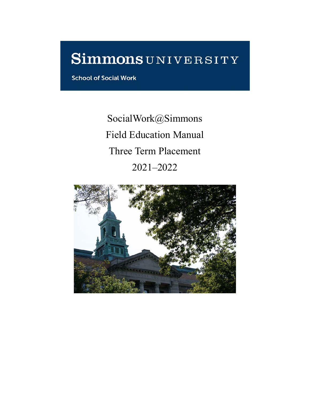# SimmonsUNIVERSITY

**School of Social Work** 

 Field Education Manual Three Term Placement SocialWork@Simmons 2021–2022

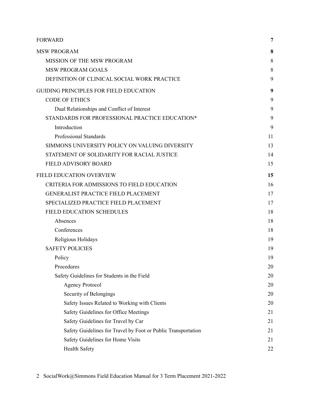| <b>FORWARD</b>                                                | $\overline{7}$ |
|---------------------------------------------------------------|----------------|
| <b>MSW PROGRAM</b>                                            |                |
| MISSION OF THE MSW PROGRAM                                    | 8              |
| <b>MSW PROGRAM GOALS</b>                                      | 8              |
| DEFINITION OF CLINICAL SOCIAL WORK PRACTICE                   | 9              |
| <b>GUIDING PRINCIPLES FOR FIELD EDUCATION</b>                 | 9              |
| <b>CODE OF ETHICS</b>                                         | 9              |
| Dual Relationships and Conflict of Interest                   | 9              |
| STANDARDS FOR PROFESSIONAL PRACTICE EDUCATION*                | 9              |
| Introduction                                                  | 9              |
| Professional Standards                                        | 11             |
| SIMMONS UNIVERSITY POLICY ON VALUING DIVERSITY                | 13             |
| STATEMENT OF SOLIDARITY FOR RACIAL JUSTICE                    | 14             |
| <b>FIELD ADVISORY BOARD</b>                                   | 15             |
| FIELD EDUCATION OVERVIEW                                      | 15             |
| <b>CRITERIA FOR ADMISSIONS TO FIELD EDUCATION</b>             | 16             |
| <b>GENERALIST PRACTICE FIELD PLACEMENT</b>                    | 17             |
| SPECIALIZED PRACTICE FIELD PLACEMENT                          | 17             |
| <b>FIELD EDUCATION SCHEDULES</b>                              | 18             |
| Absences                                                      | 18             |
| Conferences                                                   | 18             |
| Religious Holidays                                            | 19             |
| <b>SAFETY POLICIES</b>                                        | 19             |
| Policy                                                        | 19             |
| Procedures                                                    | 20             |
| Safety Guidelines for Students in the Field                   | 20             |
| <b>Agency Protocol</b>                                        | 20             |
| Security of Belongings                                        | 20             |
| Safety Issues Related to Working with Clients                 | 20             |
| Safety Guidelines for Office Meetings                         | 21             |
| Safety Guidelines for Travel by Car                           | 21             |
| Safety Guidelines for Travel by Foot or Public Transportation | 21             |
| Safety Guidelines for Home Visits                             | 21             |
| <b>Health Safety</b>                                          | 22             |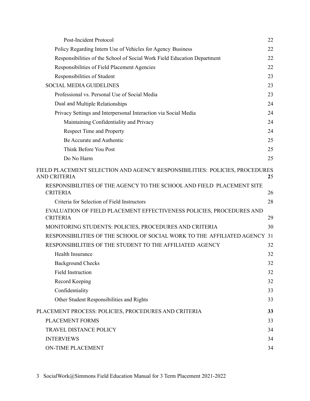| Post-Incident Protocol                                                                             | 22 |
|----------------------------------------------------------------------------------------------------|----|
| Policy Regarding Intern Use of Vehicles for Agency Business                                        | 22 |
| Responsibilities of the School of Social Work Field Education Department                           | 22 |
| Responsibilities of Field Placement Agencies                                                       | 22 |
| Responsibilities of Student                                                                        | 23 |
| <b>SOCIAL MEDIA GUIDELINES</b>                                                                     | 23 |
| Professional vs. Personal Use of Social Media                                                      | 23 |
| Dual and Multiple Relationships                                                                    | 24 |
| Privacy Settings and Interpersonal Interaction via Social Media                                    | 24 |
| Maintaining Confidentiality and Privacy                                                            | 24 |
| <b>Respect Time and Property</b>                                                                   | 24 |
| Be Accurate and Authentic                                                                          | 25 |
| Think Before You Post                                                                              | 25 |
| Do No Harm                                                                                         | 25 |
| FIELD PLACEMENT SELECTION AND AGENCY RESPONSIBILITIES: POLICIES, PROCEDURES<br><b>AND CRITERIA</b> | 25 |
| RESPONSIBILITIES OF THE AGENCY TO THE SCHOOL AND FIELD PLACEMENT SITE<br><b>CRITERIA</b>           | 26 |
| Criteria for Selection of Field Instructors                                                        | 28 |
| EVALUATION OF FIELD PLACEMENT EFFECTIVENESS POLICIES, PROCEDURES AND<br><b>CRITERIA</b>            | 29 |
| MONITORING STUDENTS: POLICIES, PROCEDURES AND CRITERIA                                             | 30 |
| RESPONSIBILITIES OF THE SCHOOL OF SOCIAL WORK TO THE AFFILIATED AGENCY 31                          |    |
| RESPONSIBILITIES OF THE STUDENT TO THE AFFILIATED AGENCY                                           | 32 |
| Health Insurance                                                                                   | 32 |
| <b>Background Checks</b>                                                                           | 32 |
| <b>Field Instruction</b>                                                                           | 32 |
| Record Keeping                                                                                     | 32 |
| Confidentiality                                                                                    | 33 |
| Other Student Responsibilities and Rights                                                          | 33 |
| PLACEMENT PROCESS: POLICIES, PROCEDURES AND CRITERIA                                               | 33 |
| <b>PLACEMENT FORMS</b>                                                                             | 33 |
| TRAVEL DISTANCE POLICY                                                                             | 34 |
| <b>INTERVIEWS</b>                                                                                  | 34 |
| <b>ON-TIME PLACEMENT</b>                                                                           | 34 |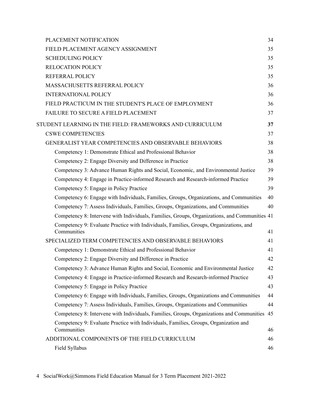| PLACEMENT NOTIFICATION                                                                                | 34 |
|-------------------------------------------------------------------------------------------------------|----|
| FIELD PLACEMENT AGENCY ASSIGNMENT                                                                     | 35 |
| <b>SCHEDULING POLICY</b>                                                                              | 35 |
| <b>RELOCATION POLICY</b>                                                                              | 35 |
| REFERRAL POLICY                                                                                       | 35 |
| MASSACHUSETTS REFERRAL POLICY                                                                         | 36 |
| <b>INTERNATIONAL POLICY</b>                                                                           | 36 |
| FIELD PRACTICUM IN THE STUDENT'S PLACE OF EMPLOYMENT                                                  | 36 |
| FAILURE TO SECURE A FIELD PLACEMENT                                                                   | 37 |
| STUDENT LEARNING IN THE FIELD: FRAMEWORKS AND CURRICULUM                                              | 37 |
| <b>CSWE COMPETENCIES</b>                                                                              | 37 |
| <b>GENERALIST YEAR COMPETENCIES AND OBSERVABLE BEHAVIORS</b>                                          | 38 |
| Competency 1: Demonstrate Ethical and Professional Behavior                                           | 38 |
| Competency 2: Engage Diversity and Difference in Practice                                             | 38 |
| Competency 3: Advance Human Rights and Social, Economic, and Environmental Justice                    | 39 |
| Competency 4: Engage in Practice-informed Research and Research-informed Practice                     | 39 |
| Competency 5: Engage in Policy Practice                                                               | 39 |
| Competency 6: Engage with Individuals, Families, Groups, Organizations, and Communities               | 40 |
| Competency 7: Assess Individuals, Families, Groups, Organizations, and Communities                    | 40 |
| Competency 8: Intervene with Individuals, Families, Groups, Organizations, and Communities 41         |    |
| Competency 9: Evaluate Practice with Individuals, Families, Groups, Organizations, and<br>Communities | 41 |
| SPECIALIZED TERM COMPETENCIES AND OBSERVABLE BEHAVIORS                                                | 41 |
| Competency 1: Demonstrate Ethical and Professional Behavior                                           | 41 |
| Competency 2: Engage Diversity and Difference in Practice                                             | 42 |
| Competency 3: Advance Human Rights and Social, Economic and Environmental Justice                     | 42 |
| Competency 4: Engage in Practice-informed Research and Research-informed Practice                     | 43 |
| Competency 5: Engage in Policy Practice                                                               | 43 |
| Competency 6: Engage with Individuals, Families, Groups, Organizations and Communities                | 44 |
| Competency 7: Assess Individuals, Families, Groups, Organizations and Communities                     | 44 |
| Competency 8: Intervene with Individuals, Families, Groups, Organizations and Communities             | 45 |
| Competency 9: Evaluate Practice with Individuals, Families, Groups, Organization and                  |    |
| Communities                                                                                           | 46 |
| ADDITIONAL COMPONENTS OF THE FIELD CURRICULUM                                                         | 46 |
| Field Syllabus                                                                                        | 46 |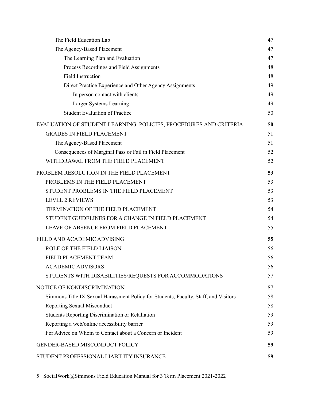| The Field Education Lab                                                              | 47 |
|--------------------------------------------------------------------------------------|----|
| The Agency-Based Placement                                                           | 47 |
| The Learning Plan and Evaluation                                                     | 47 |
| Process Recordings and Field Assignments                                             | 48 |
| <b>Field Instruction</b>                                                             | 48 |
| Direct Practice Experience and Other Agency Assignments                              | 49 |
| In person contact with clients                                                       | 49 |
| Larger Systems Learning                                                              | 49 |
| <b>Student Evaluation of Practice</b>                                                | 50 |
| EVALUATION OF STUDENT LEARNING: POLICIES, PROCEDURES AND CRITERIA                    | 50 |
| <b>GRADES IN FIELD PLACEMENT</b>                                                     | 51 |
| The Agency-Based Placement                                                           | 51 |
| Consequences of Marginal Pass or Fail in Field Placement                             | 52 |
| WITHDRAWAL FROM THE FIELD PLACEMENT                                                  | 52 |
| PROBLEM RESOLUTION IN THE FIELD PLACEMENT                                            | 53 |
| PROBLEMS IN THE FIELD PLACEMENT                                                      | 53 |
| STUDENT PROBLEMS IN THE FIELD PLACEMENT                                              | 53 |
| <b>LEVEL 2 REVIEWS</b>                                                               | 53 |
| TERMINATION OF THE FIELD PLACEMENT                                                   | 54 |
| STUDENT GUIDELINES FOR A CHANGE IN FIELD PLACEMENT                                   | 54 |
| LEAVE OF ABSENCE FROM FIELD PLACEMENT                                                | 55 |
| FIELD AND ACADEMIC ADVISING                                                          | 55 |
| <b>ROLE OF THE FIELD LIAISON</b>                                                     | 56 |
| FIELD PLACEMENT TEAM                                                                 | 56 |
| <b>ACADEMIC ADVISORS</b>                                                             | 56 |
| STUDENTS WITH DISABILITIES/REQUESTS FOR ACCOMMODATIONS                               | 57 |
| NOTICE OF NONDISCRIMINATION                                                          | 57 |
| Simmons Title IX Sexual Harassment Policy for Students, Faculty, Staff, and Visitors | 58 |
| <b>Reporting Sexual Misconduct</b>                                                   | 58 |
| <b>Students Reporting Discrimination or Retaliation</b>                              | 59 |
| Reporting a web/online accessibility barrier                                         | 59 |
| For Advice on Whom to Contact about a Concern or Incident                            | 59 |
| GENDER-BASED MISCONDUCT POLICY                                                       | 59 |
| STUDENT PROFESSIONAL LIABILITY INSURANCE                                             | 59 |

5 SocialWork@Simmons Field Education Manual for 3 Term Placement 2021-2022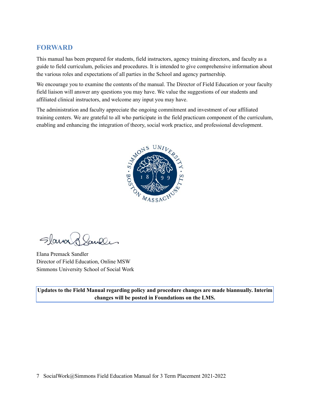## <span id="page-6-0"></span>**FORWARD**

 This manual has been prepared for students, field instructors, agency training directors, and faculty as a guide to field curriculum, policies and procedures. It is intended to give comprehensive information about the various roles and expectations of all parties in the School and agency partnership.

 We encourage you to examine the contents of the manual. The Director of Field Education or your faculty field liaison will answer any questions you may have. We value the suggestions of our students and affiliated clinical instructors, and welcome any input you may have.

 The administration and faculty appreciate the ongoing commitment and investment of our affiliated training centers. We are grateful to all who participate in the field practicum component of the curriculum, enabling and enhancing the integration of theory, social work practice, and professional development.



Flana Rauler

 Elana Premack Sandler Director of Field Education, Online MSW Simmons University School of Social Work

 **Updates to the Field Manual regarding policy and procedure changes are made biannually. Interim changes will be posted in Foundations on the LMS.**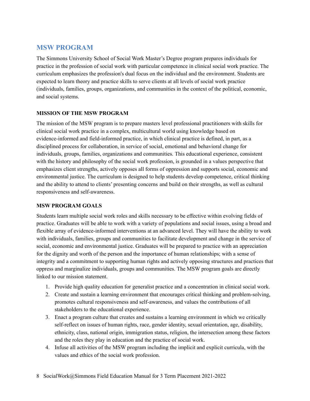## <span id="page-7-0"></span>**MSW PROGRAM**

 The Simmons University School of Social Work Master's Degree program prepares individuals for practice in the profession of social work with particular competence in clinical social work practice. The curriculum emphasizes the profession's dual focus on the individual and the environment. Students are expected to learn theory and practice skills to serve clients at all levels of social work practice (individuals, families, groups, organizations, and communities in the context of the political, economic, and social systems.

## <span id="page-7-1"></span> **MISSION OF THE MSW PROGRAM**

 The mission of the MSW program is to prepare masters level professional practitioners with skills for clinical social work practice in a complex, multicultural world using knowledge based on evidence-informed and field-informed practice, in which clinical practice is defined, in part, as a disciplined process for collaboration, in service of social, emotional and behavioral change for individuals, groups, families, organizations and communities. This educational experience, consistent with the history and philosophy of the social work profession, is grounded in a values perspective that emphasizes client strengths, actively opposes all forms of oppression and supports social, economic and environmental justice. The curriculum is designed to help students develop competence, critical thinking and the ability to attend to clients' presenting concerns and build on their strengths, as well as cultural responsiveness and self-awareness.

#### <span id="page-7-2"></span>**MSW PROGRAM GOALS**

 Students learn multiple social work roles and skills necessary to be effective within evolving fields of practice. Graduates will be able to work with a variety of populations and social issues, using a broad and flexible array of evidence-informed interventions at an advanced level. They will have the ability to work with individuals, families, groups and communities to facilitate development and change in the service of social, economic and environmental justice. Graduates will be prepared to practice with an appreciation for the dignity and worth of the person and the importance of human relationships; with a sense of integrity and a commitment to supporting human rights and actively opposing structures and practices that oppress and marginalize individuals, groups and communities. The MSW program goals are directly linked to our mission statement.

- 1. Provide high quality education for generalist practice and a concentration in clinical social work.
- 2. Create and sustain a learning environment that encourages critical thinking and problem-solving, promotes cultural responsiveness and self-awareness, and values the contributions of all stakeholders to the educational experience.
- 3. Enact a program culture that creates and sustains a learning environment in which we critically self-reflect on issues of human rights, race, gender identity, sexual orientation, age, disability, ethnicity, class, national origin, immigration status, religion, the intersection among these factors and the roles they play in education and the practice of social work.
- 4. Infuse all activities of the MSW program including the implicit and explicit curricula, with the values and ethics of the social work profession.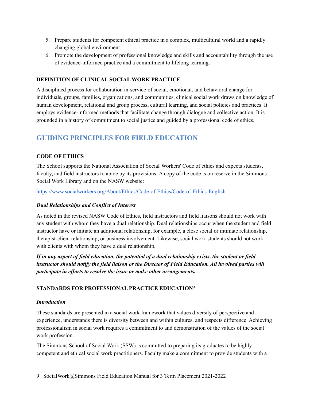- 5. Prepare students for competent ethical practice in a complex, multicultural world and a rapidly changing global environment.
- 6. Promote the development of professional knowledge and skills and accountability through the use of evidence-informed practice and a commitment to lifelong learning.

## <span id="page-8-0"></span> **DEFINITION OF CLINICAL SOCIAL WORK PRACTICE**

 A disciplined process for collaboration in-service of social, emotional, and behavioral change for individuals, groups, families, organizations, and communities, clinical social work draws on knowledge of human development, relational and group process, cultural learning, and social policies and practices. It employs evidence-informed methods that facilitate change through dialogue and collective action. It is grounded in a history of commitment to social justice and guided by a professional code of ethics.

# <span id="page-8-1"></span> **GUIDING PRINCIPLES FOR FIELD EDUCATION**

## <span id="page-8-2"></span> **CODE OF ETHICS**

 The School supports the National Association of Social Workers' Code of ethics and expects students, faculty, and field instructors to abide by its provisions. A copy of the code is on reserve in the Simmons Social Work Library and on the NASW website:

<https://www.socialworkers.org/About/Ethics/Code-of-Ethics/Code-of-Ethics-English>.

#### <span id="page-8-3"></span> *Dual Relationships and Conflict of Interest*

 As noted in the revised NASW Code of Ethics, field instructors and field liaisons should not work with any student with whom they have a dual relationship. Dual relationships occur when the student and field instructor have or initiate an additional relationship, for example, a close social or intimate relationship, therapist-client relationship, or business involvement. Likewise, social work students should not work with clients with whom they have a dual relationship.

If in any aspect of field education, the potential of a dual relationship exists, the student or field instructor should notify the field liaison or the Director of Field Education. All involved parties will  *participate in efforts to resolve the issue or make other arrangements.*

## <span id="page-8-4"></span> **STANDARDS FOR PROFESSIONAL PRACTICE EDUCATION\***

#### <span id="page-8-5"></span>*Introduction*

 These standards are presented in a social work framework that values diversity of perspective and experience, understands there is diversity between and within cultures, and respects difference. Achieving professionalism in social work requires a commitment to and demonstration of the values of the social work profession.

 The Simmons School of Social Work (SSW) is committed to preparing its graduates to be highly competent and ethical social work practitioners. Faculty make a commitment to provide students with a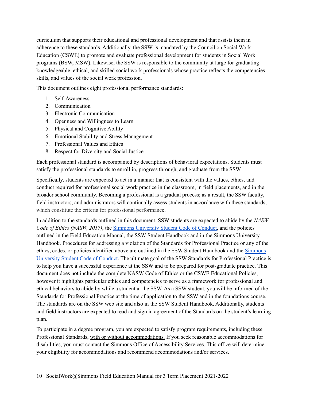curriculum that supports their educational and professional development and that assists them in adherence to these standards. Additionally, the SSW is mandated by the Council on Social Work Education (CSWE) to promote and evaluate professional development for students in Social Work programs (BSW, MSW). Likewise, the SSW is responsible to the community at large for graduating knowledgeable, ethical, and skilled social work professionals whose practice reflects the competencies, skills, and values of the social work profession.

This document outlines eight professional performance standards:

- 1. Self-Awareness
- 2. Communication
- 3. Electronic Communication
- 4. Openness and Willingness to Learn
- 5. Physical and Cognitive Ability
- 6. Emotional Stability and Stress Management
- 7. Professional Values and Ethics
- 8. Respect for Diversity and Social Justice

 Each professional standard is accompanied by descriptions of behavioral expectations. Students must satisfy the professional standards to enroll in, progress through, and graduate from the SSW.

 Specifically, students are expected to act in a manner that is consistent with the values, ethics, and conduct required for professional social work practice in the classroom, in field placements, and in the broader school community. Becoming a professional is a gradual process; as a result, the SSW faculty, field instructors, and administrators will continually assess students in accordance with these standards, which constitute the criteria for professional performance.

 In addition to the standards outlined in this document, SSW students are expected to abide by the *NASW Code of Ethics (NASW, 2017)*, the Simmons [University](http://www.simmons.edu/code-of-conduct) Student Code of Conduct, and the policies outlined in the Field Education Manual, the SSW Student Handbook and in the Simmons University Handbook. Procedures for addressing a violation of the Standards for Professional Practice or any of the ethics, codes, or policies identified above are outlined in the SSW Student Handbook and the **[Simmons](http://www.simmons.edu/code-of-conduct)**  [University](http://www.simmons.edu/code-of-conduct) Student Code of Conduct. The ultimate goal of the SSW Standards for Professional Practice is to help you have a successful experience at the SSW and to be prepared for post-graduate practice. This document does not include the complete NASW Code of Ethics or the CSWE Educational Policies, however it highlights particular ethics and competencies to serve as a framework for professional and ethical behaviors to abide by while a student at the SSW. As a SSW student, you will be informed of the Standards for Professional Practice at the time of application to the SSW and in the foundations course. The standards are on the SSW web site and also in the SSW Student Handbook. Additionally, students and field instructors are expected to read and sign in agreement of the Standards on the student's learning plan.

 To participate in a degree program, you are expected to satisfy program requirements, including these Professional Standards, with or without accommodations. If you seek reasonable accommodations for disabilities, you must contact the Simmons Office of Accessibility Services. This office will determine your eligibility for accommodations and recommend accommodations and/or services.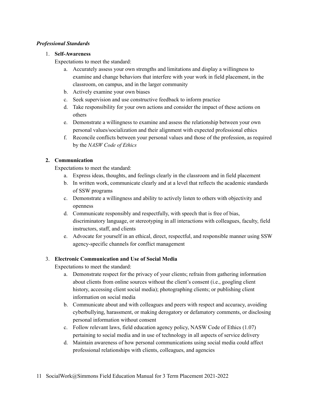#### <span id="page-10-0"></span>*Professional Standards*

#### 1. **Self-Awareness**

Expectations to meet the standard:

- a. Accurately assess your own strengths and limitations and display a willingness to examine and change behaviors that interfere with your work in field placement, in the classroom, on campus, and in the larger community
- b. Actively examine your own biases
- c. Seek supervision and use constructive feedback to inform practice
- d. Take responsibility for your own actions and consider the impact of these actions on others
- e. Demonstrate a willingness to examine and assess the relationship between your own personal values/socialization and their alignment with expected professional ethics
- f. Reconcile conflicts between your personal values and those of the profession, as required  by the *NASW Code of Ethics*

#### **2. Communication**

Expectations to meet the standard:

- a. Express ideas, thoughts, and feelings clearly in the classroom and in field placement
- b. In written work, communicate clearly and at a level that reflects the academic standards of SSW programs
- c. Demonstrate a willingness and ability to actively listen to others with objectivity and openness
- d. Communicate responsibly and respectfully, with speech that is free of bias, discriminatory language, or stereotyping in all interactions with colleagues, faculty, field instructors, staff, and clients
- e. Advocate for yourself in an ethical, direct, respectful, and responsible manner using SSW agency-specific channels for conflict management

#### 3. **Electronic Communication and Use of Social Media**

Expectations to meet the standard:

- a. Demonstrate respect for the privacy of your clients; refrain from gathering information about clients from online sources without the client's consent (i.e., googling client history, accessing client social media); photographing clients; or publishing client information on social media
- b. Communicate about and with colleagues and peers with respect and accuracy, avoiding cyberbullying, harassment, or making derogatory or defamatory comments, or disclosing personal information without consent
- c. Follow relevant laws, field education agency policy, NASW Code of Ethics (1.07) pertaining to social media and in use of technology in all aspects of service delivery
- d. Maintain awareness of how personal communications using social media could affect professional relationships with clients, colleagues, and agencies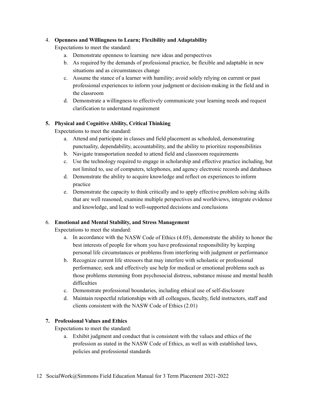#### 4. **Openness and Willingness to Learn; Flexibility and Adaptability**

Expectations to meet the standard:

- a. Demonstrate openness to learning new ideas and perspectives
- b. As required by the demands of professional practice, be flexible and adaptable in new situations and as circumstances change
- c. Assume the stance of a learner with humility; avoid solely relying on current or past professional experiences to inform your judgment or decision-making in the field and in the classroom
- d. Demonstrate a willingness to effectively communicate your learning needs and request clarification to understand requirement

## **5. Physical and Cognitive Ability, Critical Thinking**

Expectations to meet the standard:

- a. Attend and participate in classes and field placement as scheduled, demonstrating punctuality, dependability, accountability, and the ability to prioritize responsibilities
- b. Navigate transportation needed to attend field and classroom requirements
- c. Use the technology required to engage in scholarship and effective practice including, but not limited to, use of computers, telephones, and agency electronic records and databases
- d. Demonstrate the ability to acquire knowledge and reflect on experiences to inform practice
- e. Demonstrate the capacity to think critically and to apply effective problem solving skills that are well reasoned, examine multiple perspectives and worldviews, integrate evidence and knowledge, and lead to well-supported decisions and conclusions

## 6. **Emotional and Mental Stability, and Stress Management**

Expectations to meet the standard:

- a. In accordance with the NASW Code of Ethics (4.05), demonstrate the ability to honor the best interests of people for whom you have professional responsibility by keeping personal life circumstances or problems from interfering with judgment or performance
- b. Recognize current life stressors that may interfere with scholastic or professional performance; seek and effectively use help for medical or emotional problems such as those problems stemming from psychosocial distress, substance misuse and mental health difficulties
- c. Demonstrate professional boundaries, including ethical use of self-disclosure
- d. Maintain respectful relationships with all colleagues, faculty, field instructors, staff and clients consistent with the NASW Code of Ethics (2.01)

## **7. Professional Values and Ethics**

Expectations to meet the standard:

 a. Exhibit judgment and conduct that is consistent with the values and ethics of the profession as stated in the NASW Code of Ethics, as well as with established laws, policies and professional standards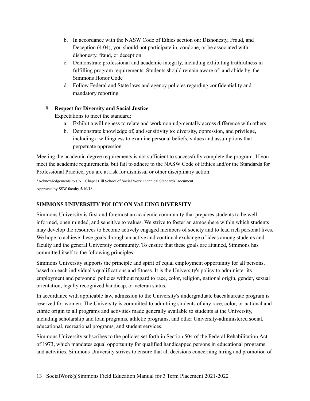- b. In accordance with the NASW Code of Ethics section on: Dishonesty, Fraud, and Deception (4.04), you should not participate in, condone, or be associated with dishonesty, fraud, or deception
- c. Demonstrate professional and academic integrity, including exhibiting truthfulness in fulfilling program requirements. Students should remain aware of, and abide by, the Simmons Honor Code
- d. Follow Federal and State laws and agency policies regarding confidentiality and mandatory reporting

## 8. **Respect for Diversity and Social Justice**

Expectations to meet the standard:

- a. Exhibit a willingness to relate and work nonjudgmentally across difference with others
- b. Demonstrate knowledge of, and sensitivity to: diversity, oppression, and privilege, including a willingness to examine personal beliefs, values and assumptions that perpetuate oppression

 Meeting the academic degree requirements is not sufficient to successfully complete the program. If you meet the academic requirements, but fail to adhere to the NASW Code of Ethics and/or the Standards for Professional Practice, you are at risk for dismissal or other disciplinary action.

 \*Acknowledgements to UNC Chapel Hill School of Social Work Technical Standards Document Approved by SSW faculty 5/10/18

## <span id="page-12-0"></span> **SIMMONS UNIVERSITY POLICY ON VALUING DIVERSITY**

 Simmons University is first and foremost an academic community that prepares students to be well informed, open minded, and sensitive to values. We strive to foster an atmosphere within which students may develop the resources to become actively engaged members of society and to lead rich personal lives. We hope to achieve these goals through an active and continual exchange of ideas among students and faculty and the general University community. To ensure that these goals are attained, Simmons has committed itself to the following principles.

 Simmons University supports the principle and spirit of equal employment opportunity for all persons, based on each individual's qualifications and fitness. It is the University's policy to administer its employment and personnel policies without regard to race, color, religion, national origin, gender, sexual orientation, legally recognized handicap, or veteran status.

 In accordance with applicable law, admission to the University's undergraduate baccalaureate program is reserved for women. The University is committed to admitting students of any race, color, or national and ethnic origin to all programs and activities made generally available to students at the University, including scholarship and loan programs, athletic programs, and other University-administered social, educational, recreational programs, and student services.

 Simmons University subscribes to the policies set forth in Section 504 of the Federal Rehabilitation Act of 1973, which mandates equal opportunity for qualified handicapped persons in educational programs and activities. Simmons University strives to ensure that all decisions concerning hiring and promotion of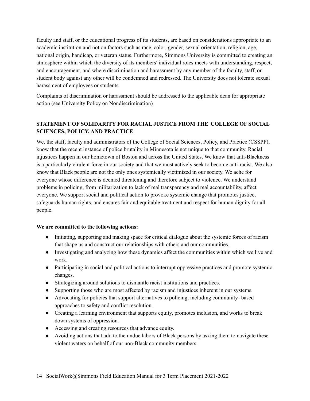<span id="page-13-0"></span> faculty and staff, or the educational progress of its students, are based on considerations appropriate to an academic institution and not on factors such as race, color, gender, sexual orientation, religion, age, national origin, handicap, or veteran status. Furthermore, Simmons University is committed to creating an atmosphere within which the diversity of its members' individual roles meets with understanding, respect, and encouragement, and where discrimination and harassment by any member of the faculty, staff, or student body against any other will be condemned and redressed. The University does not tolerate sexual harassment of employees or students.

 Complaints of discrimination or harassment should be addressed to the applicable dean for appropriate action (see University Policy on Nondiscrimination)

## **STATEMENT OF SOLIDARITY FOR RACIAL JUSTICE FROM THE COLLEGE OF SOCIAL SCIENCES, POLICY, AND PRACTICE**

 We, the staff, faculty and administrators of the College of Social Sciences, Policy, and Practice (CSSPP), know that the recent instance of police brutality in Minnesota is not unique to that community. Racial injustices happen in our hometown of Boston and across the United States. We know that anti-Blackness is a particularly virulent force in our society and that we must actively seek to become anti-racist. We also know that Black people are not the only ones systemically victimized in our society. We ache for everyone whose difference is deemed threatening and therefore subject to violence. We understand problems in policing, from militarization to lack of real transparency and real accountability, affect everyone. We support social and political action to provoke systemic change that promotes justice, safeguards human rights, and ensures fair and equitable treatment and respect for human dignity for all people.

## **We are committed to the following actions:**

- ● Initiating, supporting and making space for critical dialogue about the systemic forces of racism that shape us and construct our relationships with others and our communities.
- ● Investigating and analyzing how these dynamics affect the communities within which we live and work.
- ● Participating in social and political actions to interrupt oppressive practices and promote systemic changes.
- Strategizing around solutions to dismantle racist institutions and practices.
- Supporting those who are most affected by racism and injustices inherent in our systems.
- ● Advocating for policies that support alternatives to policing, including community- based approaches to safety and conflict resolution.
- ● Creating a learning environment that supports equity, promotes inclusion, and works to break down systems of oppression.
- Accessing and creating resources that advance equity.
- ● Avoiding actions that add to the undue labors of Black persons by asking them to navigate these violent waters on behalf of our non-Black community members.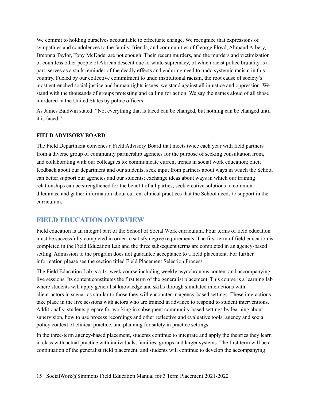We commit to holding ourselves accountable to effectuate change. We recognize that expressions of sympathies and condolences to the family, friends, and communities of George Floyd, Ahmaud Arbery, Breonna Taylor, Tony McDade, are not enough. Their recent murders, and the murders and victimization of countless other people of African descent due to white supremacy, of which racist police brutality is a part, serves as a stark reminder of the deadly effects and enduring need to undo systemic racism in this country. Fueled by our collective commitment to undo institutional racism, the root cause of society's most entrenched social justice and human rights issues, we stand against all injustice and oppression. We stand with the thousands of groups protesting and calling for action. We say the names aloud of all those murdered in the United States by police officers.

 As James Baldwin stated: "Not everything that is faced can be changed, but nothing can be changed until it is faced."

#### <span id="page-14-0"></span>**FIELD ADVISORY BOARD**

 The Field Department convenes a Field Advisory Board that meets twice each year with field partners from a diverse group of community partnership agencies for the purpose of seeking consultation from, and collaborating with our colleagues to: communicate current trends in social work education; elicit feedback about our department and our students; seek input from partners about ways in which the School can better support our agencies and our students; exchange ideas about ways in which our training relationships can be strengthened for the benefit of all parties; seek creative solutions to common dilemmas; and gather information about current clinical practices that the School needs to support in the curriculum.

## <span id="page-14-1"></span>**FIELD EDUCATION OVERVIEW**

 Field education is an integral part of the School of Social Work curriculum. Four terms of field education must be successfully completed in order to satisfy degree requirements. The first term of field education is completed in the Field Education Lab and the three subsequent terms are completed in an agency-based setting. Admission to the program does not guarantee acceptance to a field placement. For further information please see the section titled Field Placement Selection Process.

 The Field Education Lab is a 14-week course including weekly asynchronous content and accompanying live sessions. Its content constitutes the first term of the generalist placement. This course is a learning lab where students will apply generalist knowledge and skills through simulated interactions with client-actors in scenarios similar to those they will encounter in agency-based settings. These interactions take place in the live sessions with actors who are trained in advance to respond to student interventions. Additionally, students prepare for working in subsequent community-based settings by learning about supervision, how to use process recordings and other reflective and evaluative tools, agency and social policy context of clinical practice, and planning for safety in practice settings.

 In the three-term agency-based placement, students continue to integrate and apply the theories they learn in class with actual practice with individuals, families, groups and larger systems. The first term will be a continuation of the generalist field placement, and students will continue to develop the accompanying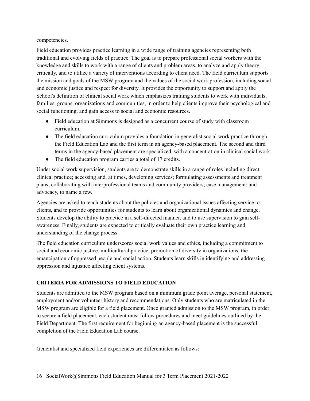competencies.

 Field education provides practice learning in a wide range of training agencies representing both traditional and evolving fields of practice. The goal is to prepare professional social workers with the knowledge and skills to work with a range of clients and problem areas, to analyze and apply theory critically, and to utilize a variety of interventions according to client need. The field curriculum supports the mission and goals of the MSW program and the values of the social work profession, including social and economic justice and respect for diversity. It provides the opportunity to support and apply the School's definition of clinical social work which emphasizes training students to work with individuals, families, groups, organizations and communities, in order to help clients improve their psychological and social functioning, and gain access to social and economic resources.

- ● Field education at Simmons is designed as a concurrent course of study with classroom curriculum.
- ● The field education curriculum provides a foundation in generalist social work practice through the Field Education Lab and the first term in an agency-based placement. The second and third terms in the agency-based placement are specialized, with a concentration in clinical social work.
- The field education program carries a total of 17 credits.

 Under social work supervision, students are to demonstrate skills in a range of roles including direct clinical practice; accessing and, at times, developing services; formulating assessments and treatment plans; collaborating with interprofessional teams and community providers; case management; and advocacy, to name a few.

 Agencies are asked to teach students about the policies and organizational issues affecting service to clients, and to provide opportunities for students to learn about organizational dynamics and change. Students develop the ability to practice in a self-directed manner, and to use supervision to gain self- awareness. Finally, students are expected to critically evaluate their own practice learning and understanding of the change process.

 The field education curriculum underscores social work values and ethics, including a commitment to social and economic justice, multicultural practice, promotion of diversity in organizations, the emancipation of oppressed people and social action. Students learn skills in identifying and addressing oppression and injustice affecting client systems.

## <span id="page-15-0"></span> **CRITERIA FOR ADMISSIONS TO FIELD EDUCATION**

 Students are admitted to the MSW program based on a minimum grade point average, personal statement, employment and/or volunteer history and recommendations. Only students who are matriculated in the MSW program are eligible for a field placement. Once granted admission to the MSW program, in order to secure a field placement, each student must follow procedures and meet guidelines outlined by the Field Department. The first requirement for beginning an agency-based placement is the successful completion of the Field Education Lab course.

Generalist and specialized field experiences are differentiated as follows: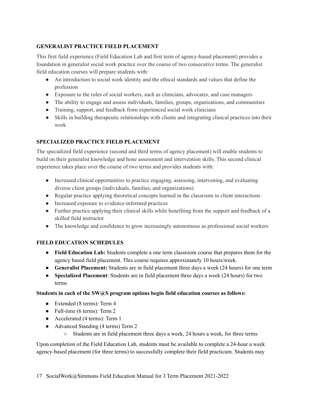## <span id="page-16-0"></span> **GENERALIST PRACTICE FIELD PLACEMENT**

 This first field experience (Field Education Lab and first term of agency-based placement) provides a foundation in generalist social work practice over the course of two consecutive terms. The generalist field education courses will prepare students with:

- ● An introduction to social work identity and the ethical standards and values that define the profession
- Exposure to the roles of social workers, such as clinicians, advocates, and case managers
- The ability to engage and assess individuals, families, groups, organizations, and communities
- Training, support, and feedback from experienced social work clinicians
- ● Skills in building therapeutic relationships with clients and integrating clinical practices into their work

## <span id="page-16-1"></span> **SPECIALIZED PRACTICE FIELD PLACEMENT**

 The specialized field experience (second and third terms of agency placement) will enable students to build on their generalist knowledge and hone assessment and intervention skills. This second clinical experience takes place over the course of two terms and provides students with:

- ● Increased clinical opportunities to practice engaging, assessing, intervening, and evaluating diverse client groups (individuals, families, and organizations)
- Regular practice applying theoretical concepts learned in the classroom to client interactions
- Increased exposure to evidence-informed practices
- ● Further practice applying their clinical skills while benefiting from the support and feedback of a skilled field instructor
- The knowledge and confidence to grow increasingly autonomous as professional social workers

## <span id="page-16-2"></span>**FIELD EDUCATION SCHEDULES**

- **Field Education Lab:** Students complete a one term classroom course that prepares them for the agency based field placement. This course requires approximately 10 hours/week.
- **Generalist Placement:** Students are in field placement three days a week (24 hours) for one term
- ● **Specialized Placement**: Students are in field placement three days a week (24 hours) for two terms

## **Students in each of the SW@S program options begin field education courses as follows:**

- Extended (8 terms): Term 4
- Full-time (6 terms): Term 2
- Accelerated (4 terms): Term 1
- Advanced Standing (4 terms) Term 2
	- Students are in field placement three days a week, 24 hours a week, for three terms

 Upon completion of the Field Education Lab, students must be available to complete a 24-hour a week agency-based placement (for three terms) to successfully complete their field practicum. Students may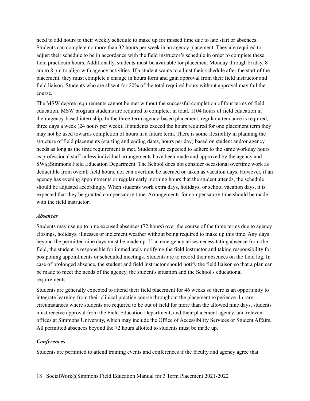need to add hours to their weekly schedule to make up for missed time due to late start or absences. Students can complete no more than 32 hours per week in an agency placement. They are required to adjust their schedule to be in accordance with the field instructor's schedule in order to complete these field practicum hours. Additionally, students must be available for placement Monday through Friday, 8 am to 8 pm to align with agency activities. If a student wants to adjust their schedule after the start of the placement, they must complete a change in hours form and gain approval from their field instructor and field liaison. Students who are absent for 20% of the total required hours without approval may fail the course.

 The MSW degree requirements cannot be met without the successful completion of four terms of field education. MSW program students are required to complete, in total, 1104 hours of field education in their agency-based internship. In the three-term agency-based placement, regular attendance is required, three days a week (24 hours per week). If students exceed the hours required for one placement term they may not be used towards completion of hours in a future term. There is some flexibility in planning the structure of field placements (starting and ending dates, hours per day) based on student and/or agency needs as long as the time requirement is met. Students are expected to adhere to the same workday hours as professional staff unless individual arrangements have been made and approved by the agency and SW@Simmons Field Education Department. The School does not consider occasional overtime work as deductible from overall field hours, nor can overtime be accrued or taken as vacation days. However, if an agency has evening appointments or regular early morning hours that the student attends, the schedule should be adjusted accordingly. When students work extra days, holidays, or school vacation days, it is expected that they be granted compensatory time. Arrangements for compensatory time should be made with the field instructor.

#### <span id="page-17-0"></span>*Absences*

 Students may use up to nine excused absences (72 hours) over the course of the three terms due to agency closings, holidays, illnesses or inclement weather without being required to make up this time. Any days beyond the permitted nine days must be made up. If an emergency arises necessitating absence from the field, the student is responsible for immediately notifying the field instructor and taking responsibility for postponing appointments or scheduled meetings. Students are to record their absences on the field log. In case of prolonged absence, the student and field instructor should notify the field liaison so that a plan can be made to meet the needs of the agency, the student's situation and the School's educational requirements.

 Students are generally expected to attend their field placement for 46 weeks so there is an opportunity to integrate learning from their clinical practice course throughout the placement experience. In rare circumstances where students are required to be out of field for more than the allowed nine days, students must receive approval from the Field Education Department, and their placement agency, and relevant offices at Simmons University, which may include the Office of Accessibility Services or Student Affairs. All permitted absences beyond the 72 hours allotted to students must be made up.

#### <span id="page-17-1"></span>*Conferences*

Students are permitted to attend training events and conferences if the faculty and agency agree that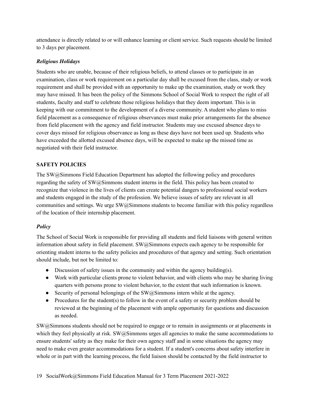attendance is directly related to or will enhance learning or client service. Such requests should be limited to 3 days per placement.

## <span id="page-18-0"></span>*Religious Holidays*

 Students who are unable, because of their religious beliefs, to attend classes or to participate in an examination, class or work requirement on a particular day shall be excused from the class, study or work requirement and shall be provided with an opportunity to make up the examination, study or work they may have missed. It has been the policy of the Simmons School of Social Work to respect the right of all students, faculty and staff to celebrate those religious holidays that they deem important. This is in keeping with our commitment to the development of a diverse community. A student who plans to miss field placement as a consequence of religious observances must make prior arrangements for the absence from field placement with the agency and field instructor. Students may use excused absence days to cover days missed for religious observance as long as these days have not been used up. Students who have exceeded the allotted excused absence days, will be expected to make up the missed time as negotiated with their field instructor.

## <span id="page-18-1"></span>**SAFETY POLICIES**

 The SW@Simmons Field Education Department has adopted the following policy and procedures regarding the safety of SW@Simmons student interns in the field. This policy has been created to recognize that violence in the lives of clients can create potential dangers to professional social workers and students engaged in the study of the profession. We believe issues of safety are relevant in all communities and settings. We urge SW@Simmons students to become familiar with this policy regardless of the location of their internship placement.

#### <span id="page-18-2"></span>*Policy*

 The School of Social Work is responsible for providing all students and field liaisons with general written information about safety in field placement. SW@Simmons expects each agency to be responsible for orienting student interns to the safety policies and procedures of that agency and setting. Such orientation should include, but not be limited to:

- Discussion of safety issues in the community and within the agency building(s).
- ● Work with particular clients prone to violent behavior, and with clients who may be sharing living quarters with persons prone to violent behavior, to the extent that such information is known.
- Security of personal belongings of the SW@Simmons intern while at the agency.
- Procedures for the student(s) to follow in the event of a safety or security problem should be reviewed at the beginning of the placement with ample opportunity for questions and discussion as needed.

 SW@Simmons students should not be required to engage or to remain in assignments or at placements in which they feel physically at risk. SW@Simmons urges all agencies to make the same accommodations to ensure students' safety as they make for their own agency staff and in some situations the agency may need to make even greater accommodations for a student. If a student's concerns about safety interfere in whole or in part with the learning process, the field liaison should be contacted by the field instructor to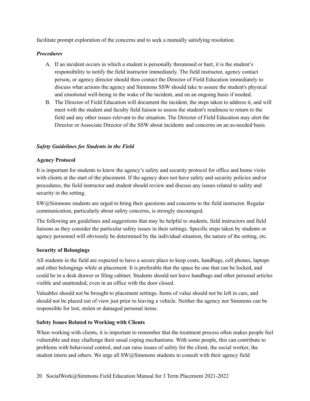facilitate prompt exploration of the concerns and to seek a mutually satisfying resolution.

#### <span id="page-19-0"></span>*Procedures*

- A. If an incident occurs in which a student is personally threatened or hurt, it is the student's responsibility to notify the field instructor immediately. The field instructor, agency contact person, or agency director should then contact the Director of Field Education immediately to discuss what actions the agency and Simmons SSW should take to assure the student's physical and emotional well-being in the wake of the incident, and on an ongoing basis if needed.
- B. The Director of Field Education will document the incident, the steps taken to address it, and will meet with the student and faculty field liaison to assess the student's readiness to return to the field and any other issues relevant to the situation. The Director of Field Education may alert the Director or Associate Director of the SSW about incidents and concerns on an as-needed basis.

## <span id="page-19-1"></span> *Safety Guidelines for Students in the Field*

#### <span id="page-19-2"></span>**Agency Protocol**

 It is important for students to know the agency's safety and security protocol for office and home visits with clients at the start of the placement. If the agency does not have safety and security policies and/or procedures, the field instructor and student should review and discuss any issues related to safety and security in the setting.

 SW@Simmons students are urged to bring their questions and concerns to the field instructor. Regular communication, particularly about safety concerns, is strongly encouraged.

 The following are guidelines and suggestions that may be helpful to students, field instructors and field liaisons as they consider the particular safety issues in their settings. Specific steps taken by students or agency personnel will obviously be determined by the individual situation, the nature of the setting, etc.

#### <span id="page-19-3"></span> **Security of Belongings**

 All students in the field are expected to have a secure place to keep coats, handbags, cell phones, laptops and other belongings while at placement. It is preferable that the space be one that can be locked, and could be in a desk drawer or filing cabinet. Students should not leave handbags and other personal articles visible and unattended, even in an office with the door closed.

 Valuables should not be brought to placement settings. Items of value should not be left in cars, and should not be placed out of view just prior to leaving a vehicle. Neither the agency nor Simmons can be responsible for lost, stolen or damaged personal items.

#### <span id="page-19-4"></span> **Safety Issues Related to Working with Clients**

 When working with clients, it is important to remember that the treatment process often makes people feel vulnerable and may challenge their usual coping mechanisms. With some people, this can contribute to problems with behavioral control, and can raise issues of safety for the client, the social worker, the student intern and others. We urge all SW@Simmons students to consult with their agency field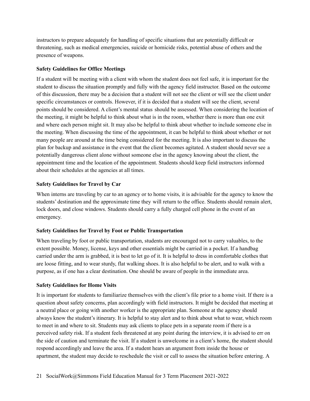instructors to prepare adequately for handling of specific situations that are potentially difficult or threatening, such as medical emergencies, suicide or homicide risks, potential abuse of others and the presence of weapons.

#### <span id="page-20-0"></span> **Safety Guidelines for Office Meetings**

 If a student will be meeting with a client with whom the student does not feel safe, it is important for the student to discuss the situation promptly and fully with the agency field instructor. Based on the outcome of this discussion, there may be a decision that a student will not see the client or will see the client under specific circumstances or controls. However, if it is decided that a student will see the client, several points should be considered. A client's mental status should be assessed. When considering the location of the meeting, it might be helpful to think about what is in the room, whether there is more than one exit and where each person might sit. It may also be helpful to think about whether to include someone else in the meeting. When discussing the time of the appointment, it can be helpful to think about whether or not many people are around at the time being considered for the meeting. It is also important to discuss the plan for backup and assistance in the event that the client becomes agitated. A student should never see a potentially dangerous client alone without someone else in the agency knowing about the client, the appointment time and the location of the appointment. Students should keep field instructors informed about their schedules at the agencies at all times.

## <span id="page-20-1"></span> **Safety Guidelines for Travel by Car**

 When interns are traveling by car to an agency or to home visits, it is advisable for the agency to know the students' destination and the approximate time they will return to the office. Students should remain alert, lock doors, and close windows. Students should carry a fully charged cell phone in the event of an emergency.

#### <span id="page-20-2"></span> **Safety Guidelines for Travel by Foot or Public Transportation**

 When traveling by foot or public transportation, students are encouraged not to carry valuables, to the extent possible. Money, license, keys and other essentials might be carried in a pocket. If a handbag carried under the arm is grabbed, it is best to let go of it. It is helpful to dress in comfortable clothes that are loose fitting, and to wear sturdy, flat walking shoes. It is also helpful to be alert, and to walk with a purpose, as if one has a clear destination. One should be aware of people in the immediate area.

#### <span id="page-20-3"></span> **Safety Guidelines for Home Visits**

 It is important for students to familiarize themselves with the client's file prior to a home visit. If there is a question about safety concerns, plan accordingly with field instructors. It might be decided that meeting at a neutral place or going with another worker is the appropriate plan. Someone at the agency should always know the student's itinerary. It is helpful to stay alert and to think about what to wear, which room to meet in and where to sit. Students may ask clients to place pets in a separate room if there is a perceived safety risk. If a student feels threatened at any point during the interview, it is advised to err on the side of caution and terminate the visit. If a student is unwelcome in a client's home, the student should respond accordingly and leave the area. If a student hears an argument from inside the house or apartment, the student may decide to reschedule the visit or call to assess the situation before entering. A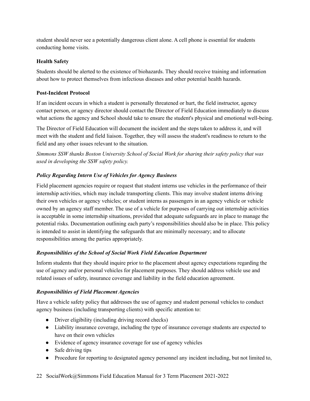student should never see a potentially dangerous client alone. A cell phone is essential for students conducting home visits.

## <span id="page-21-0"></span>**Health Safety**

 Students should be alerted to the existence of biohazards. They should receive training and information about how to protect themselves from infectious diseases and other potential health hazards.

#### <span id="page-21-1"></span>**Post-Incident Protocol**

 If an incident occurs in which a student is personally threatened or hurt, the field instructor, agency contact person, or agency director should contact the Director of Field Education immediately to discuss what actions the agency and School should take to ensure the student's physical and emotional well-being.

 The Director of Field Education will document the incident and the steps taken to address it, and will meet with the student and field liaison. Together, they will assess the student's readiness to return to the field and any other issues relevant to the situation.

 *Simmons SSW thanks Boston University School of Social Work for sharing their safety policy that was used in developing the SSW safety policy.*

## <span id="page-21-2"></span> *Policy Regarding Intern Use of Vehicles for Agency Business*

 Field placement agencies require or request that student interns use vehicles in the performance of their internship activities, which may include transporting clients. This may involve student interns driving their own vehicles or agency vehicles; or student interns as passengers in an agency vehicle or vehicle owned by an agency staff member. The use of a vehicle for purposes of carrying out internship activities is acceptable in some internship situations, provided that adequate safeguards are in place to manage the potential risks. Documentation outlining each party's responsibilities should also be in place. This policy is intended to assist in identifying the safeguards that are minimally necessary; and to allocate responsibilities among the parties appropriately.

## <span id="page-21-3"></span> *Responsibilities of the School of Social Work Field Education Department*

 Inform students that they should inquire prior to the placement about agency expectations regarding the use of agency and/or personal vehicles for placement purposes. They should address vehicle use and related issues of safety, insurance coverage and liability in the field education agreement.

## <span id="page-21-4"></span> *Responsibilities of Field Placement Agencies*

 Have a vehicle safety policy that addresses the use of agency and student personal vehicles to conduct agency business (including transporting clients) with specific attention to:

- Driver eligibility (including driving record checks)
- ● Liability insurance coverage, including the type of insurance coverage students are expected to have on their own vehicles
- Evidence of agency insurance coverage for use of agency vehicles
- Safe driving tips
- Procedure for reporting to designated agency personnel any incident including, but not limited to,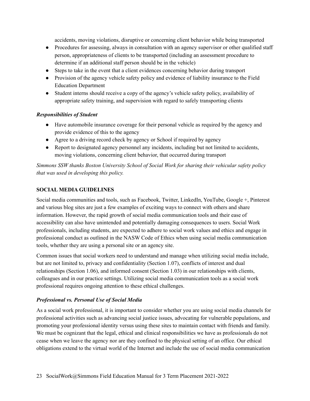accidents, moving violations, disruptive or concerning client behavior while being transported

- ● Procedures for assessing, always in consultation with an agency supervisor or other qualified staff person, appropriateness of clients to be transported (including an assessment procedure to determine if an additional staff person should be in the vehicle)
- Steps to take in the event that a client evidences concerning behavior during transport
- ● Provision of the agency vehicle safety policy and evidence of liability insurance to the Field Education Department
- ● Student interns should receive a copy of the agency's vehicle safety policy, availability of appropriate safety training, and supervision with regard to safely transporting clients

#### <span id="page-22-0"></span> *Responsibilities of Student*

- ● Have automobile insurance coverage for their personal vehicle as required by the agency and provide evidence of this to the agency
- Agree to a driving record check by agency or School if required by agency
- ● Report to designated agency personnel any incidents, including but not limited to accidents, moving violations, concerning client behavior, that occurred during transport

 *Simmons SSW thanks Boston University School of Social Work for sharing their vehicular safety policy that was used in developing this policy.*

## <span id="page-22-1"></span> **SOCIAL MEDIA GUIDELINES**

 Social media communities and tools, such as Facebook, Twitter, LinkedIn, YouTube, Google +, Pinterest and various blog sites are just a few examples of exciting ways to connect with others and share information. However, the rapid growth of social media communication tools and their ease of accessibility can also have unintended and potentially damaging consequences to users. Social Work professionals, including students, are expected to adhere to social work values and ethics and engage in professional conduct as outlined in the NASW Code of Ethics when using social media communication tools, whether they are using a personal site or an agency site.

 Common issues that social workers need to understand and manage when utilizing social media include, but are not limited to, privacy and confidentiality (Section 1.07), conflicts of interest and dual relationships (Section 1.06), and informed consent (Section 1.03) in our relationships with clients, colleagues and in our practice settings. Utilizing social media communication tools as a social work professional requires ongoing attention to these ethical challenges.

#### <span id="page-22-2"></span> *Professional vs. Personal Use of Social Media*

 As a social work professional, it is important to consider whether you are using social media channels for professional activities such as advancing social justice issues, advocating for vulnerable populations, and promoting your professional identity versus using these sites to maintain contact with friends and family. We must be cognizant that the legal, ethical and clinical responsibilities we have as professionals do not cease when we leave the agency nor are they confined to the physical setting of an office. Our ethical obligations extend to the virtual world of the Internet and include the use of social media communication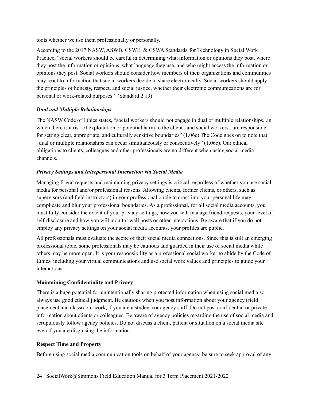tools whether we use them professionally or personally.

 According to the 2017 NASW, ASWB, CSWE, & CSWA Standards for Technology in Social Work Practice, "social workers should be careful in determining what information or opinions they post, where they post the information or opinions, what language they use, and who might access the information or opinions they post. Social workers should consider how members of their organizations and communities may react to information that social workers decide to share electronically. Social workers should apply the principles of honesty, respect, and social justice, whether their electronic communications are for personal or work-related purposes." (Standard 2.19)

## <span id="page-23-0"></span> *Dual and Multiple Relationships*

 The NASW Code of Ethics states, "social workers should not engage in dual or multiple relationships...in which there is a risk of exploitation or potential harm to the client...and social workers...are responsible for setting clear, appropriate, and culturally sensitive boundaries" (1.06c) The Code goes on to note that "dual or multiple relationships can occur simultaneously or consecutively" (1.06c). Our ethical obligations to clients, colleagues and other professionals are no different when using social media channels.

## <span id="page-23-1"></span> *Privacy Settings and Interpersonal Interaction via Social Media*

 Managing friend requests and maintaining privacy settings is critical regardless of whether you use social media for personal and/or professional reasons. Allowing clients, former clients, or others, such as supervisors (and field instructors) in your professional circle to cross into your personal life may complicate and blur your professional boundaries. As a professional, for all social media accounts, you must fully consider the extent of your privacy settings, how you will manage friend requests, your level of self-disclosure and how you will monitor wall posts or other interactions. Be aware that if you do not employ any privacy settings on your social media accounts, your profiles are public.

 All professionals must evaluate the scope of their social media connections. Since this is still an emerging professional topic, some professionals may be cautious and guarded in their use of social media while others may be more open. It is your responsibility as a professional social worker to abide by the Code of Ethics, including your virtual communications and use social work values and principles to guide your interactions.

## <span id="page-23-2"></span> **Maintaining Confidentiality and Privacy**

 There is a huge potential for unintentionally sharing protected information when using social media so always use good ethical judgment. Be cautious when you post information about your agency (field placement and classroom work, if you are a student) or agency staff. Do not post confidential or private information about clients or colleagues. Be aware of agency policies regarding the use of social media and scrupulously follow agency policies. Do not discuss a client, patient or situation on a social media site even if you are disguising the information.

## <span id="page-23-3"></span> **Respect Time and Property**

Before using social media communication tools on behalf of your agency, be sure to seek approval of any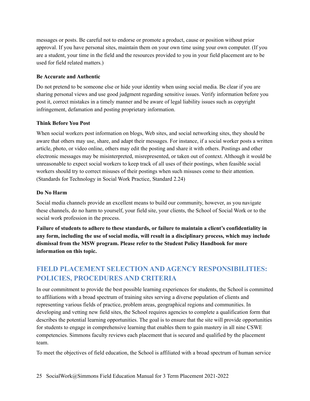messages or posts. Be careful not to endorse or promote a product, cause or position without prior approval. If you have personal sites, maintain them on your own time using your own computer. (If you are a student, your time in the field and the resources provided to you in your field placement are to be used for field related matters.)

#### <span id="page-24-0"></span> **Be Accurate and Authentic**

 Do not pretend to be someone else or hide your identity when using social media. Be clear if you are sharing personal views and use good judgment regarding sensitive issues. Verify information before you post it, correct mistakes in a timely manner and be aware of legal liability issues such as copyright infringement, defamation and posting proprietary information.

#### <span id="page-24-1"></span> **Think Before You Post**

 When social workers post information on blogs, Web sites, and social networking sites, they should be aware that others may use, share, and adapt their messages. For instance, if a social worker posts a written article, photo, or video online, others may edit the posting and share it with others. Postings and other electronic messages may be misinterpreted, misrepresented, or taken out of context. Although it would be unreasonable to expect social workers to keep track of all uses of their postings, when feasible social workers should try to correct misuses of their postings when such misuses come to their attention. (Standards for Technology in Social Work Practice, Standard 2.24)

#### <span id="page-24-2"></span> **Do No Harm**

 Social media channels provide an excellent means to build our community, however, as you navigate these channels, do no harm to yourself, your field site, your clients, the School of Social Work or to the social work profession in the process.

 **Failure of students to adhere to these standards, or failure to maintain a client's confidentiality in** any form, including the use of social media, will result in a disciplinary process, which may include  **dismissal from the MSW program. Please refer to the Student Policy Handbook for more information on this topic.**

# <span id="page-24-3"></span> **FIELD PLACEMENT SELECTION AND AGENCY RESPONSIBILITIES: POLICIES, PROCEDURES AND CRITERIA**

 In our commitment to provide the best possible learning experiences for students, the School is committed to affiliations with a broad spectrum of training sites serving a diverse population of clients and representing various fields of practice, problem areas, geographical regions and communities. In developing and vetting new field sites, the School requires agencies to complete a qualification form that describes the potential learning opportunities. The goal is to ensure that the site will provide opportunities for students to engage in comprehensive learning that enables them to gain mastery in all nine CSWE competencies. Simmons faculty reviews each placement that is secured and qualified by the placement team.

To meet the objectives of field education, the School is affiliated with a broad spectrum of human service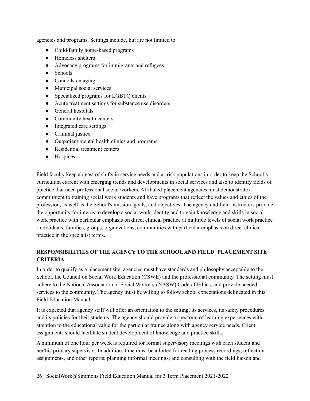agencies and programs. Settings include, but are not limited to:

- Child/family home-based programs
- Homeless shelters
- Advocacy programs for immigrants and refugees
- Schools
- Councils on aging
- Municipal social services
- Specialized programs for LGBTQ clients
- Acute treatment settings for substance use disorders
- General hospitals
- Community health centers
- Integrated care settings
- Criminal justice
- Outpatient mental health clinics and programs
- Residential treatment centers
- Hospices

 Field faculty keep abreast of shifts in service needs and at-risk populations in order to keep the School's curriculum current with emerging trends and developments in social services and also to identify fields of practice that need professional social workers. Affiliated placement agencies must demonstrate a commitment to training social work students and have programs that reflect the values and ethics of the profession, as well as the School's mission, goals, and objectives. The agency and field instructors provide the opportunity for interns to develop a social work identity and to gain knowledge and skills in social work practice with particular emphasis on direct clinical practice at multiple levels of social work practice (individuals, families, groups, organizations, communities with particular emphasis on direct clinical practice in the specialist terms.

## <span id="page-25-0"></span> **RESPONSIBILITIES OF THE AGENCY TO THE SCHOOLAND FIELD PLACEMENT SITE CRITERIA**

 In order to qualify as a placement site, agencies must have standards and philosophy acceptable to the School, the Council on Social Work Education (CSWE) and the professional community. The setting must adhere to the National Association of Social Workers (NASW) Code of Ethics, and provide needed services to the community. The agency must be willing to follow school expectations delineated in this Field Education Manual.

 It is expected that agency staff will offer an orientation to the setting, its services, its safety procedures and its policies for their students. The agency should provide a spectrum of learning experiences with attention to the educational value for the particular trainee along with agency service needs. Client assignments should facilitate student development of knowledge and practice skills.

 A minimum of one hour per week is required for formal supervisory meetings with each student and her/his primary supervisor. In addition, time must be allotted for reading process recordings, reflection assignments, and other reports; planning informal meetings; and consulting with the field liaison and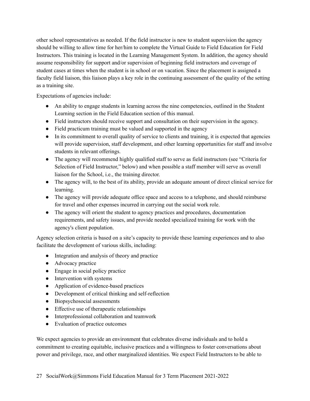other school representatives as needed. If the field instructor is new to student supervision the agency should be willing to allow time for her/him to complete the Virtual Guide to Field Education for Field Instructors. This training is located in the Learning Management System. In addition, the agency should assume responsibility for support and/or supervision of beginning field instructors and coverage of student cases at times when the student is in school or on vacation. Since the placement is assigned a faculty field liaison, this liaison plays a key role in the continuing assessment of the quality of the setting as a training site.

Expectations of agencies include:

- ● An ability to engage students in learning across the nine competencies, outlined in the Student Learning section in the Field Education section of this manual.
- Field instructors should receive support and consultation on their supervision in the agency.
- Field practicum training must be valued and supported in the agency
- ● In its commitment to overall quality of service to clients and training, it is expected that agencies will provide supervision, staff development, and other learning opportunities for staff and involve students in relevant offerings.
- ● The agency will recommend highly qualified staff to serve as field instructors (see "Criteria for Selection of Field Instructor," below) and when possible a staff member will serve as overall liaison for the School, i.e., the training director.
- ● The agency will, to the best of its ability, provide an adequate amount of direct clinical service for learning.
- ● The agency will provide adequate office space and access to a telephone, and should reimburse for travel and other expenses incurred in carrying out the social work role.
- ● The agency will orient the student to agency practices and procedures, documentation requirements, and safety issues, and provide needed specialized training for work with the agency's client population.

 Agency selection criteria is based on a site's capacity to provide these learning experiences and to also facilitate the development of various skills, including:

- Integration and analysis of theory and practice
- Advocacy practice
- Engage in social policy practice
- Intervention with systems
- Application of evidence-based practices
- Development of critical thinking and self-reflection
- Biopsychosocial assessments
- Effective use of therapeutic relationships
- Interprofessional collaboration and teamwork
- Evaluation of practice outcomes

 We expect agencies to provide an environment that celebrates diverse individuals and to hold a commitment to creating equitable, inclusive practices and a willingness to foster conversations about power and privilege, race, and other marginalized identities. We expect Field Instructors to be able to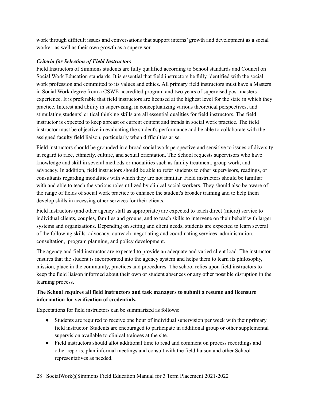work through difficult issues and conversations that support interns' growth and development as a social worker, as well as their own growth as a supervisor.

## <span id="page-27-0"></span> *Criteria for Selection of Field Instructors*

 Field Instructors of Simmons students are fully qualified according to School standards and Council on Social Work Education standards. It is essential that field instructors be fully identified with the social work profession and committed to its values and ethics. All primary field instructors must have a Masters in Social Work degree from a CSWE-accredited program and two years of supervised post-masters experience. It is preferable that field instructors are licensed at the highest level for the state in which they practice. Interest and ability in supervising, in conceptualizing various theoretical perspectives, and stimulating students' critical thinking skills are all essential qualities for field instructors. The field instructor is expected to keep abreast of current content and trends in social work practice. The field instructor must be objective in evaluating the student's performance and be able to collaborate with the assigned faculty field liaison, particularly when difficulties arise.

 Field instructors should be grounded in a broad social work perspective and sensitive to issues of diversity in regard to race, ethnicity, culture, and sexual orientation. The School requests supervisors who have knowledge and skill in several methods or modalities such as family treatment, group work, and advocacy. In addition, field instructors should be able to refer students to other supervisors, readings, or consultants regarding modalities with which they are not familiar. Field instructors should be familiar with and able to teach the various roles utilized by clinical social workers. They should also be aware of the range of fields of social work practice to enhance the student's broader training and to help them develop skills in accessing other services for their clients.

 Field instructors (and other agency staff as appropriate) are expected to teach direct (micro) service to individual clients, couples, families and groups, and to teach skills to intervene on their behalf with larger systems and organizations. Depending on setting and client needs, students are expected to learn several of the following skills: advocacy, outreach, negotiating and coordinating services, administration, consultation, program planning, and policy development.

 The agency and field instructor are expected to provide an adequate and varied client load. The instructor ensures that the student is incorporated into the agency system and helps them to learn its philosophy, mission, place in the community, practices and procedures. The school relies upon field instructors to keep the field liaison informed about their own or student absences or any other possible disruption in the learning process.

## **The School requires all field instructors and task managers to submit a resume and licensure information for verification of credentials.**

Expectations for field instructors can be summarized as follows:

- ● Students are required to receive one hour of individual supervision per week with their primary field instructor. Students are encouraged to participate in additional group or other supplemental supervision available to clinical trainees at the site.
- ● Field instructors should allot additional time to read and comment on process recordings and other reports, plan informal meetings and consult with the field liaison and other School representatives as needed.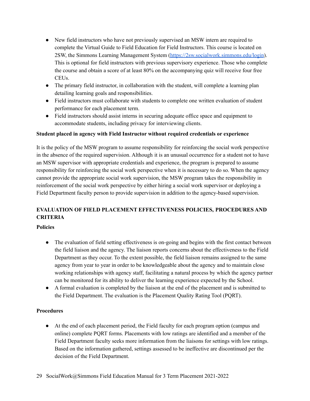- ● New field instructors who have not previously supervised an MSW intern are required to complete the Virtual Guide to Field Education for Field Instructors. This course is located on 2SW, the Simmons Learning Management System [\(https://2sw.socialwork.simmons.edu/login](https://2sw.socialwork.simmons.edu/login)). This is optional for field instructors with previous supervisory experience. Those who complete the course and obtain a score of at least 80% on the accompanying quiz will receive four free CEUs.
- ● The primary field instructor, in collaboration with the student, will complete a learning plan detailing learning goals and responsibilities.
- ● Field instructors must collaborate with students to complete one written evaluation of student performance for each placement term.
- ● Field instructors should assist interns in securing adequate office space and equipment to accommodate students, including privacy for interviewing clients.

## **Student placed in agency with Field Instructor without required credentials or experience**

 It is the policy of the MSW program to assume responsibility for reinforcing the social work perspective in the absence of the required supervision. Although it is an unusual occurrence for a student not to have an MSW supervisor with appropriate credentials and experience, the program is prepared to assume responsibility for reinforcing the social work perspective when it is necessary to do so. When the agency cannot provide the appropriate social work supervision, the MSW program takes the responsibility in reinforcement of the social work perspective by either hiring a social work supervisor or deploying a Field Department faculty person to provide supervision in addition to the agency-based supervision.

## <span id="page-28-0"></span> **EVALUATION OF FIELD PLACEMENT EFFECTIVENESS POLICIES, PROCEDURES AND CRITERIA**

#### **Policies**

- ● The evaluation of field setting effectiveness is on-going and begins with the first contact between the field liaison and the agency. The liaison reports concerns about the effectiveness to the Field Department as they occur. To the extent possible, the field liaison remains assigned to the same agency from year to year in order to be knowledgeable about the agency and to maintain close working relationships with agency staff, facilitating a natural process by which the agency partner can be monitored for its ability to deliver the learning experience expected by the School.
- ● A formal evaluation is completed by the liaison at the end of the placement and is submitted to the Field Department. The evaluation is the Placement Quality Rating Tool (PQRT).

## **Procedures**

 ● At the end of each placement period, the Field faculty for each program option (campus and online) complete PQRT forms. Placements with low ratings are identified and a member of the Field Department faculty seeks more information from the liaisons for settings with low ratings. Based on the information gathered, settings assessed to be ineffective are discontinued per the decision of the Field Department.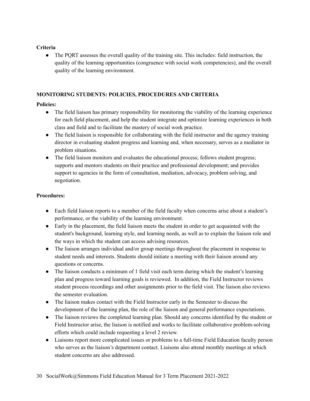#### **Criteria**

 ● The PQRT assesses the overall quality of the training site. This includes: field instruction, the quality of the learning opportunities (congruence with social work competencies), and the overall quality of the learning environment.

## <span id="page-29-0"></span> **MONITORING STUDENTS: POLICIES, PROCEDURES AND CRITERIA**

## **Policies:**

- ● The field liaison has primary responsibility for monitoring the viability of the learning experience for each field placement, and help the student integrate and optimize learning experiences in both class and field and to facilitate the mastery of social work practice.
- ● The field liaison is responsible for collaborating with the field instructor and the agency training director in evaluating student progress and learning and, when necessary, serves as a mediator in problem situations.
- ● The field liaison monitors and evaluates the educational process; follows student progress; supports and mentors students on their practice and professional development; and provides support to agencies in the form of consultation, mediation, advocacy, problem solving, and negotiation.

## **Procedures:**

- ● Each field liaison reports to a member of the field faculty when concerns arise about a student's performance, or the viability of the learning environment.
- ● Early in the placement, the field liaison meets the student in order to get acquainted with the student's background, learning style, and learning needs, as well as to explain the liaison role and the ways in which the student can access advising resources.
- ● The liaison arranges individual and/or group meetings throughout the placement in response to student needs and interests. Students should initiate a meeting with their liaison around any questions or concerns.
- ● The liaison conducts a minimum of 1 field visit each term during which the student's learning plan and progress toward learning goals is reviewed. In addition, the Field Instructor reviews student process recordings and other assignments prior to the field visit. The liaison also reviews the semester evaluation.
- ● The liaison makes contact with the Field Instructor early in the Semester to discuss the development of the learning plan, the role of the liaison and general performance expectations.
- ● The liaison reviews the completed learning plan. Should any concerns identified by the student or Field Instructor arise, the liaison is notified and works to facilitate collaborative problem-solving efforts which could include requesting a level 2 review.
- ● Liaisons report more complicated issues or problems to a full-time Field Education faculty person who serves as the liaison's department contact. Liaisons also attend monthly meetings at which student concerns are also addressed.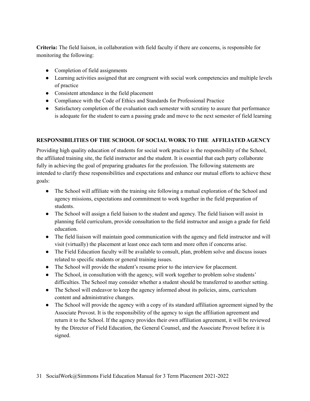**Criteria:** The field liaison, in collaboration with field faculty if there are concerns, is responsible for monitoring the following:

- Completion of field assignments
- ● Learning activities assigned that are congruent with social work competencies and multiple levels of practice
- Consistent attendance in the field placement
- Compliance with the Code of Ethics and Standards for Professional Practice
- ● Satisfactory completion of the evaluation each semester with scrutiny to assure that performance is adequate for the student to earn a passing grade and move to the next semester of field learning

## <span id="page-30-0"></span> **RESPONSIBILITIES OF THE SCHOOL OF SOCIAL WORK TO THE AFFILIATED AGENCY**

 Providing high quality education of students for social work practice is the responsibility of the School, the affiliated training site, the field instructor and the student. It is essential that each party collaborate fully in achieving the goal of preparing graduates for the profession. The following statements are intended to clarify these responsibilities and expectations and enhance our mutual efforts to achieve these goals:

- ● The School will affiliate with the training site following a mutual exploration of the School and agency missions, expectations and commitment to work together in the field preparation of students.
- ● The School will assign a field liaison to the student and agency. The field liaison will assist in planning field curriculum, provide consultation to the field instructor and assign a grade for field education.
- ● The field liaison will maintain good communication with the agency and field instructor and will visit (virtually) the placement at least once each term and more often if concerns arise.
- ● The Field Education faculty will be available to consult, plan, problem solve and discuss issues related to specific students or general training issues.
- The School will provide the student's resume prior to the interview for placement.
- ● The School, in consultation with the agency, will work together to problem solve students' difficulties. The School may consider whether a student should be transferred to another setting.
- ● The School will endeavor to keep the agency informed about its policies, aims, curriculum content and administrative changes.
- ● The School will provide the agency with a copy of its standard affiliation agreement signed by the Associate Provost. It is the responsibility of the agency to sign the affiliation agreement and return it to the School. If the agency provides their own affiliation agreement, it will be reviewed by the Director of Field Education, the General Counsel, and the Associate Provost before it is signed.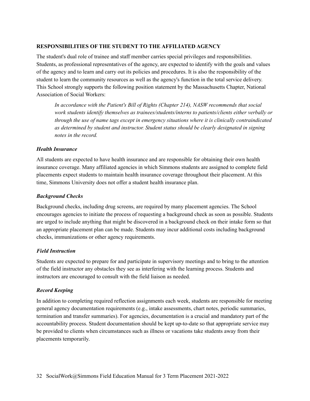## <span id="page-31-0"></span> **RESPONSIBILITIES OF THE STUDENT TO THE AFFILIATED AGENCY**

 The student's dual role of trainee and staff member carries special privileges and responsibilities. Students, as professional representatives of the agency, are expected to identify with the goals and values of the agency and to learn and carry out its policies and procedures. It is also the responsibility of the student to learn the community resources as well as the agency's function in the total service delivery. This School strongly supports the following position statement by the Massachusetts Chapter, National Association of Social Workers:

 *In accordance with the Patient's Bill of Rights (Chapter 214), NASW recommends that social work students identify themselves as trainees/students/interns to patients/clients either verbally or through the use of name tags except in emergency situations where it is clinically contraindicated as determined by student and instructor. Student status should be clearly designated in signing notes in the record.*

#### <span id="page-31-1"></span>*Health Insurance*

 All students are expected to have health insurance and are responsible for obtaining their own health insurance coverage. Many affiliated agencies in which Simmons students are assigned to complete field placements expect students to maintain health insurance coverage throughout their placement. At this time, Simmons University does not offer a student health insurance plan.

#### <span id="page-31-2"></span>*Background Checks*

 Background checks, including drug screens, are required by many placement agencies. The School encourages agencies to initiate the process of requesting a background check as soon as possible. Students are urged to include anything that might be discovered in a background check on their intake form so that an appropriate placement plan can be made. Students may incur additional costs including background checks, immunizations or other agency requirements.

#### <span id="page-31-3"></span>*Field Instruction*

 Students are expected to prepare for and participate in supervisory meetings and to bring to the attention of the field instructor any obstacles they see as interfering with the learning process. Students and instructors are encouraged to consult with the field liaison as needed.

#### <span id="page-31-4"></span>*Record Keeping*

 In addition to completing required reflection assignments each week, students are responsible for meeting general agency documentation requirements (e.g., intake assessments, chart notes, periodic summaries, termination and transfer summaries). For agencies, documentation is a crucial and mandatory part of the accountability process. Student documentation should be kept up-to-date so that appropriate service may be provided to clients when circumstances such as illness or vacations take students away from their placements temporarily.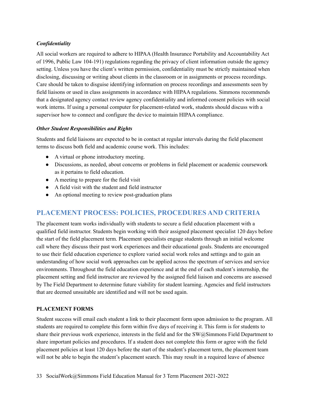## <span id="page-32-0"></span>*Confidentiality*

 All social workers are required to adhere to HIPAA (Health Insurance Portability and Accountability Act of 1996, Public Law 104-191) regulations regarding the privacy of client information outside the agency setting. Unless you have the client's written permission, confidentiality must be strictly maintained when disclosing, discussing or writing about clients in the classroom or in assignments or process recordings. Care should be taken to disguise identifying information on process recordings and assessments seen by field liaisons or used in class assignments in accordance with HIPAA regulations. Simmons recommends that a designated agency contact review agency confidentiality and informed consent policies with social work interns. If using a personal computer for placement-related work, students should discuss with a supervisor how to connect and configure the device to maintain HIPAA compliance.

#### <span id="page-32-1"></span> *Other Student Responsibilities and Rights*

 Students and field liaisons are expected to be in contact at regular intervals during the field placement terms to discuss both field and academic course work. This includes:

- A virtual or phone introductory meeting.
- ● Discussions, as needed, about concerns or problems in field placement or academic coursework as it pertains to field education.
- A meeting to prepare for the field visit
- A field visit with the student and field instructor
- An optional meeting to review post-graduation plans

# <span id="page-32-2"></span> **PLACEMENT PROCESS: POLICIES, PROCEDURES AND CRITERIA**

 The placement team works individually with students to secure a field education placement with a qualified field instructor. Students begin working with their assigned placement specialist 120 days before the start of the field placement term. Placement specialists engage students through an initial welcome call where they discuss their past work experiences and their educational goals. Students are encouraged to use their field education experience to explore varied social work roles and settings and to gain an understanding of how social work approaches can be applied across the spectrum of services and service environments. Throughout the field education experience and at the end of each student's internship, the placement setting and field instructor are reviewed by the assigned field liaison and concerns are assessed by The Field Department to determine future viability for student learning. Agencies and field instructors that are deemed unsuitable are identified and will not be used again.

#### <span id="page-32-3"></span>**PLACEMENT FORMS**

 Student success will email each student a link to their placement form upon admission to the program. All students are required to complete this form within five days of receiving it. This form is for students to share their previous work experience, interests in the field and for the SW@Simmons Field Department to share important policies and procedures. If a student does not complete this form or agree with the field placement policies at least 120 days before the start of the student's placement term, the placement team will not be able to begin the student's placement search. This may result in a required leave of absence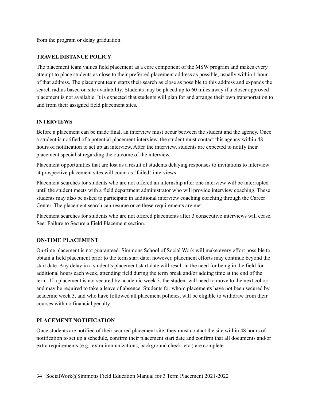from the program or delay graduation.

#### <span id="page-33-0"></span>**TRAVEL DISTANCE POLICY**

 The placement team values field placement as a core component of the MSW program and makes every attempt to place students as close to their preferred placement address as possible, usually within 1 hour of that address. The placement team starts their search as close as possible to this address and expands the search radius based on site availability. Students may be placed up to 60 miles away if a closer approved placement is not available. It is expected that students will plan for and arrange their own transportation to and from their assigned field placement sites.

## <span id="page-33-1"></span>**INTERVIEWS**

 Before a placement can be made final, an interview must occur between the student and the agency. Once a student is notified of a potential placement interview, the student must contact this agency within 48 hours of notification to set up an interview. After the interview, students are expected to notify their placement specialist regarding the outcome of the interview.

 Placement opportunities that are lost as a result of students delaying responses to invitations to interview at prospective placement sites will count as "failed" interviews.

 Placement searches for students who are not offered an internship after one interview will be interrupted until the student meets with a field department administrator who will provide interview coaching. These students may also be asked to participate in additional interview coaching coaching through the Career Center. The placement search can resume once these requirements are met.

 Placement searches for students who are not offered placements after 3 consecutive interviews will cease. See: Failure to Secure a Field Placement section.

#### <span id="page-33-2"></span>**ON-TIME PLACEMENT**

 On-time placement is not guaranteed. Simmons School of Social Work will make every effort possible to obtain a field placement prior to the term start date; however, placement efforts may continue beyond the start date. Any delay in a student's placement start date will result in the need for being in the field for additional hours each week, attending field during the term break and/or adding time at the end of the term. If a placement is not secured by academic week 3, the student will need to move to the next cohort and may be required to take a leave of absence. Students for whom placements have not been secured by academic week 3, and who have followed all placement policies, will be eligible to withdraw from their courses with no financial penalty.

#### <span id="page-33-3"></span>**PLACEMENT NOTIFICATION**

 Once students are notified of their secured placement site, they must contact the site within 48 hours of notification to set up a schedule, confirm their placement start date and confirm that all documents and/or extra requirements (e.g., extra immunizations, background check, etc.) are complete.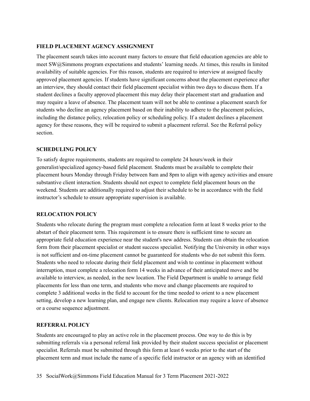#### <span id="page-34-0"></span> **FIELD PLACEMENT AGENCY ASSIGNMENT**

 The placement search takes into account many factors to ensure that field education agencies are able to meet SW@Simmons program expectations and students' learning needs. At times, this results in limited availability of suitable agencies. For this reason, students are required to interview at assigned faculty approved placement agencies. If students have significant concerns about the placement experience after an interview, they should contact their field placement specialist within two days to discuss them. If a student declines a faculty approved placement this may delay their placement start and graduation and may require a leave of absence. The placement team will not be able to continue a placement search for students who decline an agency placement based on their inability to adhere to the placement policies, including the distance policy, relocation policy or scheduling policy. If a student declines a placement agency for these reasons, they will be required to submit a placement referral. See the Referral policy section.

#### <span id="page-34-1"></span>**SCHEDULING POLICY**

 To satisfy degree requirements, students are required to complete 24 hours/week in their generalist/specialized agency-based field placement. Students must be available to complete their placement hours Monday through Friday between 8am and 8pm to align with agency activities and ensure substantive client interaction. Students should not expect to complete field placement hours on the weekend. Students are additionally required to adjust their schedule to be in accordance with the field instructor's schedule to ensure appropriate supervision is available.

#### <span id="page-34-2"></span>**RELOCATION POLICY**

 Students who relocate during the program must complete a relocation form at least 8 weeks prior to the abstart of their placement term. This requirement is to ensure there is sufficient time to secure an appropriate field education experience near the student's new address. Students can obtain the relocation form from their placement specialist or student success specialist. Notifying the University in other ways is not sufficient and on-time placement cannot be guaranteed for students who do not submit this form. Students who need to relocate during their field placement and wish to continue in placement without interruption, must complete a relocation form 14 weeks in advance of their anticipated move and be available to interview, as needed, in the new location. The Field Department is unable to arrange field placements for less than one term, and students who move and change placements are required to complete 3 additional weeks in the field to account for the time needed to orient to a new placement setting, develop a new learning plan, and engage new clients. Relocation may require a leave of absence or a course sequence adjustment.

#### <span id="page-34-3"></span>**REFERRAL POLICY**

 Students are encouraged to play an active role in the placement process. One way to do this is by submitting referrals via a personal referral link provided by their student success specialist or placement specialist. Referrals must be submitted through this form at least 6 weeks prior to the start of the placement term and must include the name of a specific field instructor or an agency with an identified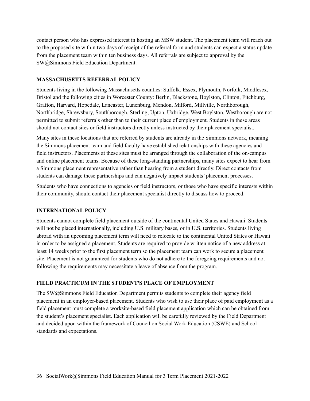contact person who has expressed interest in hosting an MSW student. The placement team will reach out to the proposed site within two days of receipt of the referral form and students can expect a status update from the placement team within ten business days. All referrals are subject to approval by the SW@Simmons Field Education Department.

#### <span id="page-35-0"></span>**MASSACHUSETTS REFERRAL POLICY**

 Students living in the following Massachusetts counties: Suffolk, Essex, Plymouth, Norfolk, Middlesex, Bristol and the following cities in Worcester County: Berlin, Blackstone, Boylston, Clinton, Fitchburg, Grafton, Harvard, Hopedale, Lancaster, Lunenburg, Mendon, Milford, Millville, Northborough, Northbridge, Shrewsbury, Southborough, Sterling, Upton, Uxbridge, West Boylston, Westborough are not permitted to submit referrals other than to their current place of employment. Students in these areas should not contact sites or field instructors directly unless instructed by their placement specialist.

 Many sites in these locations that are referred by students are already in the Simmons network, meaning the Simmons placement team and field faculty have established relationships with these agencies and field instructors. Placements at these sites must be arranged through the collaboration of the on-campus and online placement teams. Because of these long-standing partnerships, many sites expect to hear from a Simmons placement representative rather than hearing from a student directly. Direct contacts from students can damage these partnerships and can negatively impact students' placement processes.

 Students who have connections to agencies or field instructors, or those who have specific interests within their community, should contact their placement specialist directly to discuss how to proceed.

#### <span id="page-35-1"></span>**INTERNATIONAL POLICY**

 Students cannot complete field placement outside of the continental United States and Hawaii. Students will not be placed internationally, including U.S. military bases, or in U.S. territories. Students living abroad with an upcoming placement term will need to relocate to the continental United States or Hawaii in order to be assigned a placement. Students are required to provide written notice of a new address at least 14 weeks prior to the first placement term so the placement team can work to secure a placement site. Placement is not guaranteed for students who do not adhere to the foregoing requirements and not following the requirements may necessitate a leave of absence from the program.

## <span id="page-35-2"></span> **FIELD PRACTICUM IN THE STUDENT'S PLACE OF EMPLOYMENT**

 The SW@Simmons Field Education Department permits students to complete their agency field placement in an employer-based placement. Students who wish to use their place of paid employment as a field placement must complete a worksite-based field placement application which can be obtained from the student's placement specialist. Each application will be carefully reviewed by the Field Department and decided upon within the framework of Council on Social Work Education (CSWE) and School standards and expectations.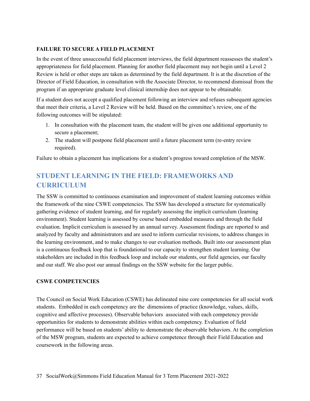#### <span id="page-36-0"></span> **FAILURE TO SECURE A FIELD PLACEMENT**

 In the event of three unsuccessful field placement interviews, the field department reassesses the student's appropriateness for field placement. Planning for another field placement may not begin until a Level 2 Review is held or other steps are taken as determined by the field department. It is at the discretion of the Director of Field Education, in consultation with the Associate Director, to recommend dismissal from the program if an appropriate graduate level clinical internship does not appear to be obtainable.

 If a student does not accept a qualified placement following an interview and refuses subsequent agencies that meet their criteria, a Level 2 Review will be held. Based on the committee's review, one of the following outcomes will be stipulated:

- 1. In consultation with the placement team, the student will be given one additional opportunity to secure a placement;
- 2. The student will postpone field placement until a future placement term (re-entry review required).

Failure to obtain a placement has implications for a student's progress toward completion of the MSW.

# <span id="page-36-1"></span> **STUDENT LEARNING IN THE FIELD: FRAMEWORKS AND CURRICULUM**

 The SSW is committed to continuous examination and improvement of student learning outcomes within the framework of the nine CSWE competencies. The SSW has developed a structure for systematically gathering evidence of student learning, and for regularly assessing the implicit curriculum (learning environment). Student learning is assessed by course based embedded measures and through the field evaluation. Implicit curriculum is assessed by an annual survey. Assessment findings are reported to and analyzed by faculty and administrators and are used to inform curricular revisions, to address changes in the learning environment, and to make changes to our evaluation methods. Built into our assessment plan is a continuous feedback loop that is foundational to our capacity to strengthen student learning. Our stakeholders are included in this feedback loop and include our students, our field agencies, our faculty and our staff. We also post our annual findings on the SSW website for the larger public.

#### <span id="page-36-2"></span>**CSWE COMPETENCIES**

 The Council on Social Work Education (CSWE) has delineated nine core competencies for all social work students. Embedded in each competency are the dimensions of practice (knowledge, values, skills, cognitive and affective processes). Observable behaviors associated with each competency provide opportunities for students to demonstrate abilities within each competency. Evaluation of field performance will be based on students' ability to demonstrate the observable behaviors. At the completion of the MSW program, students are expected to achieve competence through their Field Education and coursework in the following areas.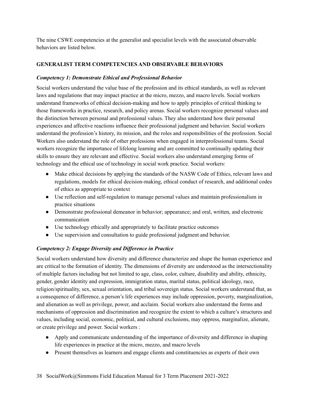The nine CSWE competencies at the generalist and specialist levels with the associated observable behaviors are listed below.

## <span id="page-37-0"></span> **GENERALIST TERM COMPETENCIES AND OBSERVABLE BEHAVIORS**

#### <span id="page-37-1"></span> *Competency 1: Demonstrate Ethical and Professional Behavior*

 Social workers understand the value base of the profession and its ethical standards, as well as relevant laws and regulations that may impact practice at the micro, mezzo, and macro levels. Social workers understand frameworks of ethical decision-making and how to apply principles of critical thinking to those frameworks in practice, research, and policy arenas. Social workers recognize personal values and the distinction between personal and professional values. They also understand how their personal experiences and affective reactions influence their professional judgment and behavior. Social workers understand the profession's history, its mission, and the roles and responsibilities of the profession. Social Workers also understand the role of other professions when engaged in interprofessional teams. Social workers recognize the importance of lifelong learning and are committed to continually updating their skills to ensure they are relevant and effective. Social workers also understand emerging forms of technology and the ethical use of technology in social work practice. Social workers:

- ● Make ethical decisions by applying the standards of the NASW Code of Ethics, relevant laws and regulations, models for ethical decision-making, ethical conduct of research, and additional codes of ethics as appropriate to context
- ● Use reflection and self-regulation to manage personal values and maintain professionalism in practice situations
- ● Demonstrate professional demeanor in behavior; appearance; and oral, written, and electronic communication
- Use technology ethically and appropriately to facilitate practice outcomes
- Use supervision and consultation to guide professional judgment and behavior.

#### <span id="page-37-2"></span> *Competency 2: Engage Diversity and Difference in Practice*

 Social workers understand how diversity and difference characterize and shape the human experience and are critical to the formation of identity. The dimensions of diversity are understood as the intersectionality of multiple factors including but not limited to age, class, color, culture, disability and ability, ethnicity, gender, gender identity and expression, immigration status, marital status, political ideology, race, religion/spirituality, sex, sexual orientation, and tribal sovereign status. Social workers understand that, as a consequence of difference, a person's life experiences may include oppression, poverty, marginalization, and alienation as well as privilege, power, and acclaim. Social workers also understand the forms and mechanisms of oppression and discrimination and recognize the extent to which a culture's structures and values, including social, economic, political, and cultural exclusions, may oppress, marginalize, alienate, or create privilege and power. Social workers :

- ● Apply and communicate understanding of the importance of diversity and difference in shaping life experiences in practice at the micro, mezzo, and macro levels
- Present themselves as learners and engage clients and constituencies as experts of their own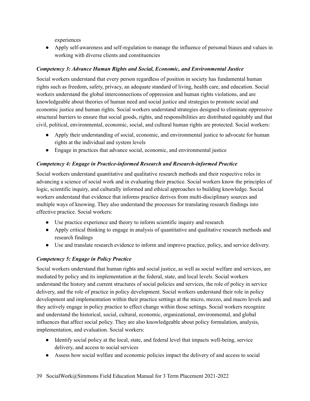experiences

 ● Apply self-awareness and self-regulation to manage the influence of personal biases and values in working with diverse clients and constituencies

## <span id="page-38-0"></span> *Competency 3: Advance Human Rights and Social, Economic, and Environmental Justice*

 Social workers understand that every person regardless of position in society has fundamental human rights such as freedom, safety, privacy, an adequate standard of living, health care, and education. Social workers understand the global interconnections of oppression and human rights violations, and are knowledgeable about theories of human need and social justice and strategies to promote social and economic justice and human rights. Social workers understand strategies designed to eliminate oppressive structural barriers to ensure that social goods, rights, and responsibilities are distributed equitably and that civil, political, environmental, economic, social, and cultural human rights are protected. Social workers:

- ● Apply their understanding of social, economic, and environmental justice to advocate for human rights at the individual and system levels
- Engage in practices that advance social, economic, and environmental justice

## <span id="page-38-1"></span> *Competency 4: Engage in Practice-informed Research and Research-informed Practice*

 Social workers understand quantitative and qualitative research methods and their respective roles in advancing a science of social work and in evaluating their practice. Social workers know the principles of logic, scientific inquiry, and culturally informed and ethical approaches to building knowledge. Social workers understand that evidence that informs practice derives from multi-disciplinary sources and multiple ways of knowing. They also understand the processes for translating research findings into effective practice. Social workers:

- Use practice experience and theory to inform scientific inquiry and research
- ● Apply critical thinking to engage in analysis of quantitative and qualitative research methods and research findings
- Use and translate research evidence to inform and improve practice, policy, and service delivery.

## <span id="page-38-2"></span> *Competency 5: Engage in Policy Practice*

 Social workers understand that human rights and social justice, as well as social welfare and services, are mediated by policy and its implementation at the federal, state, and local levels. Social workers understand the history and current structures of social policies and services, the role of policy in service delivery, and the role of practice in policy development. Social workers understand their role in policy development and implementation within their practice settings at the micro, mezzo, and macro levels and they actively engage in policy practice to effect change within those settings. Social workers recognize and understand the historical, social, cultural, economic, organizational, environmental, and global influences that affect social policy. They are also knowledgeable about policy formulation, analysis, implementation, and evaluation. Social workers:

- ● Identify social policy at the local, state, and federal level that impacts well-being, service delivery, and access to social services
- Assess how social welfare and economic policies impact the delivery of and access to social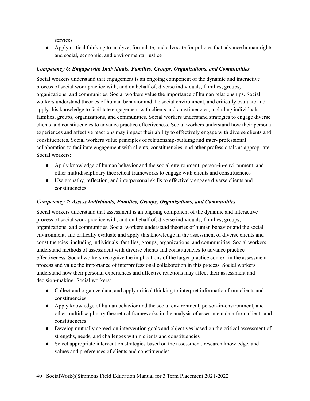services

 ● Apply critical thinking to analyze, formulate, and advocate for policies that advance human rights and social, economic, and environmental justice

## <span id="page-39-0"></span> *Competency 6: Engage with Individuals, Families, Groups, Organizations, and Communities*

 Social workers understand that engagement is an ongoing component of the dynamic and interactive process of social work practice with, and on behalf of, diverse individuals, families, groups, organizations, and communities. Social workers value the importance of human relationships. Social workers understand theories of human behavior and the social environment, and critically evaluate and apply this knowledge to facilitate engagement with clients and constituencies, including individuals, families, groups, organizations, and communities. Social workers understand strategies to engage diverse clients and constituencies to advance practice effectiveness. Social workers understand how their personal experiences and affective reactions may impact their ability to effectively engage with diverse clients and constituencies. Social workers value principles of relationship-building and inter- professional collaboration to facilitate engagement with clients, constituencies, and other professionals as appropriate. Social workers:

- ● Apply knowledge of human behavior and the social environment, person-in-environment, and other multidisciplinary theoretical frameworks to engage with clients and constituencies
- ● Use empathy, reflection, and interpersonal skills to effectively engage diverse clients and constituencies

## <span id="page-39-1"></span> *Competency 7: Assess Individuals, Families, Groups, Organizations, and Communities*

 Social workers understand that assessment is an ongoing component of the dynamic and interactive process of social work practice with, and on behalf of, diverse individuals, families, groups, organizations, and communities. Social workers understand theories of human behavior and the social environment, and critically evaluate and apply this knowledge in the assessment of diverse clients and constituencies, including individuals, families, groups, organizations, and communities. Social workers understand methods of assessment with diverse clients and constituencies to advance practice effectiveness. Social workers recognize the implications of the larger practice context in the assessment process and value the importance of interprofessional collaboration in this process. Social workers understand how their personal experiences and affective reactions may affect their assessment and decision-making. Social workers:

- ● Collect and organize data, and apply critical thinking to interpret information from clients and constituencies
- ● Apply knowledge of human behavior and the social environment, person-in-environment, and other multidisciplinary theoretical frameworks in the analysis of assessment data from clients and constituencies
- ● Develop mutually agreed-on intervention goals and objectives based on the critical assessment of strengths, needs, and challenges within clients and constituencies
- ● Select appropriate intervention strategies based on the assessment, research knowledge, and values and preferences of clients and constituencies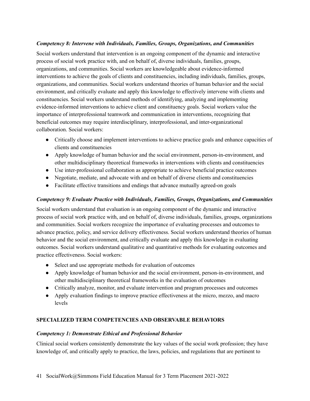#### <span id="page-40-0"></span> *Competency 8: Intervene with Individuals, Families, Groups, Organizations, and Communities*

 Social workers understand that intervention is an ongoing component of the dynamic and interactive process of social work practice with, and on behalf of, diverse individuals, families, groups, organizations, and communities. Social workers are knowledgeable about evidence-informed interventions to achieve the goals of clients and constituencies, including individuals, families, groups, organizations, and communities. Social workers understand theories of human behavior and the social environment, and critically evaluate and apply this knowledge to effectively intervene with clients and constituencies. Social workers understand methods of identifying, analyzing and implementing evidence-informed interventions to achieve client and constituency goals. Social workers value the importance of interprofessional teamwork and communication in interventions, recognizing that beneficial outcomes may require interdisciplinary, interprofessional, and inter-organizational collaboration. Social workers:

- ● Critically choose and implement interventions to achieve practice goals and enhance capacities of clients and constituencies
- ● Apply knowledge of human behavior and the social environment, person-in-environment, and other multidisciplinary theoretical frameworks in interventions with clients and constituencies
- Use inter-professional collaboration as appropriate to achieve beneficial practice outcomes
- Negotiate, mediate, and advocate with and on behalf of diverse clients and constituencies
- Facilitate effective transitions and endings that advance mutually agreed-on goals

## <span id="page-40-1"></span> *Competency 9: Evaluate Practice with Individuals, Families, Groups, Organizations, and Communities*

 Social workers understand that evaluation is an ongoing component of the dynamic and interactive process of social work practice with, and on behalf of, diverse individuals, families, groups, organizations and communities. Social workers recognize the importance of evaluating processes and outcomes to advance practice, policy, and service delivery effectiveness. Social workers understand theories of human behavior and the social environment, and critically evaluate and apply this knowledge in evaluating outcomes. Social workers understand qualitative and quantitative methods for evaluating outcomes and practice effectiveness. Social workers:

- Select and use appropriate methods for evaluation of outcomes
- ● Apply knowledge of human behavior and the social environment, person-in-environment, and other multidisciplinary theoretical frameworks in the evaluation of outcomes
- Critically analyze, monitor, and evaluate intervention and program processes and outcomes
- ● Apply evaluation findings to improve practice effectiveness at the micro, mezzo, and macro levels

## <span id="page-40-2"></span> **SPECIALIZED TERM COMPETENCIES AND OBSERVABLE BEHAVIORS**

## <span id="page-40-3"></span> *Competency 1: Demonstrate Ethical and Professional Behavior*

 Clinical social workers consistently demonstrate the key values of the social work profession; they have knowledge of, and critically apply to practice, the laws, policies, and regulations that are pertinent to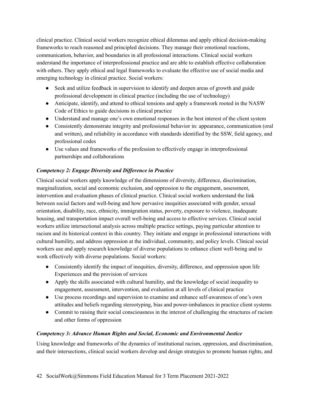clinical practice. Clinical social workers recognize ethical dilemmas and apply ethical decision-making frameworks to reach reasoned and principled decisions. They manage their emotional reactions, communication, behavior, and boundaries in all professional interactions. Clinical social workers understand the importance of interprofessional practice and are able to establish effective collaboration with others. They apply ethical and legal frameworks to evaluate the effective use of social media and emerging technology in clinical practice. Social workers:

- ● Seek and utilize feedback in supervision to identify and deepen areas of growth and guide professional development in clinical practice (including the use of technology)
- ● Anticipate, identify, and attend to ethical tensions and apply a framework rooted in the NASW Code of Ethics to guide decisions in clinical practice
- Understand and manage one's own emotional responses in the best interest of the client system
- ● Consistently demonstrate integrity and professional behavior in: appearance, communication (oral and written), and reliability in accordance with standards identified by the SSW, field agency, and professional codes
- ● Use values and frameworks of the profession to effectively engage in interprofessional partnerships and collaborations

## <span id="page-41-0"></span> *Competency 2: Engage Diversity and Difference in Practice*

 Clinical social workers apply knowledge of the dimensions of diversity, difference, discrimination, marginalization, social and economic exclusion, and oppression to the engagement, assessment, intervention and evaluation phases of clinical practice. Clinical social workers understand the link between social factors and well-being and how pervasive inequities associated with gender, sexual orientation, disability, race, ethnicity, immigration status, poverty, exposure to violence, inadequate housing, and transportation impact overall well-being and access to effective services. Clinical social workers utilize intersectional analysis across multiple practice settings, paying particular attention to racism and its historical context in this country. They initiate and engage in professional interactions with cultural humility, and address oppression at the individual, community, and policy levels. Clinical social workers use and apply research knowledge of diverse populations to enhance client well-being and to work effectively with diverse populations. Social workers:

- ● Consistently identify the impact of inequities, diversity, difference, and oppression upon life Experiences and the provision of services
- ● Apply the skills associated with cultural humility, and the knowledge of social inequality to engagement, assessment, intervention, and evaluation at all levels of clinical practice
- ● Use process recordings and supervision to examine and enhance self-awareness of one's own attitudes and beliefs regarding stereotyping, bias and power-imbalances in practice client systems
- ● Commit to raising their social consciousness in the interest of challenging the structures of racism and other forms of oppression

## <span id="page-41-1"></span> *Competency 3: Advance Human Rights and Social, Economic and Environmental Justice*

 Using knowledge and frameworks of the dynamics of institutional racism, oppression, and discrimination, and their intersections, clinical social workers develop and design strategies to promote human rights, and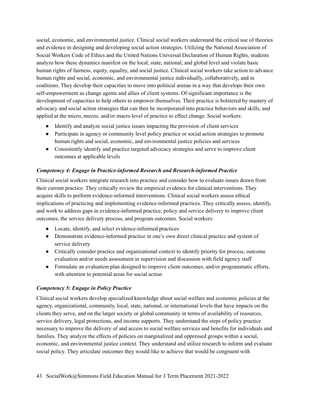social, economic, and environmental justice. Clinical social workers understand the critical use of theories and evidence in designing and developing social action strategies. Utilizing the National Association of Social Workers Code of Ethics and the United Nations Universal Declaration of Human Rights, students analyze how these dynamics manifest on the local, state, national, and global level and violate basic human rights of fairness, equity, equality, and social justice. Clinical social workers take action to advance human rights and social, economic, and environmental justice individually, collaboratively, and in coalitions. They develop their capacities to move into political arenas in a way that develops their own self-empowerment as change agents and allies of client systems. Of significant importance is the development of capacities to help others to empower themselves. Their practice is bolstered by mastery of advocacy and social action strategies that can then be incorporated into practice behaviors and skills, and applied at the micro, mezzo, and/or macro level of practice to effect change. Social workers:

- Identify and analyze social justice issues impacting the provision of client services
- ● Participate in agency or community level policy practice or social action strategies to promote human rights and social, economic, and environmental justice policies and services
- ● Consistently identify and practice targeted advocacy strategies and serve to improve client outcomes at applicable levels

## <span id="page-42-0"></span> *Competency 4: Engage in Practice-informed Research and Research-informed Practice*

 Clinical social workers integrate research into practice and consider how to evaluate issues drawn from their current practice. They critically review the empirical evidence for clinical interventions. They acquire skills to perform evidence-informed interventions. Clinical social workers assess ethical implications of practicing and implementing evidence-informed practices. They critically assess, identify, and work to address gaps in evidence-informed practice, policy and service delivery to improve client outcomes, the service delivery process, and program outcomes. Social workers:

- Locate, identify, and select evidence-informed practices
- ● Demonstrate evidence-informed practice in one's own direct clinical practice and system of service delivery
- ● Critically consider practice and organizational context to identify priority for process, outcome evaluation and/or needs assessment in supervision and discussion with field agency staff
- ● Formulate an evaluation plan designed to improve client outcomes, and/or programmatic efforts, with attention to potential areas for social action

## <span id="page-42-1"></span> *Competency 5: Engage in Policy Practice*

 Clinical social workers develop specialized knowledge about social welfare and economic policies at the agency, organizational, community, local, state, national, or international levels that have impacts on the clients they serve, and on the larger society or global community in terms of availability of resources, service delivery, legal protections, and income supports. They understand the steps of policy practice necessary to improve the delivery of and access to social welfare services and benefits for individuals and families. They analyze the effects of policies on marginalized and oppressed groups within a social, economic, and environmental justice context. They understand and utilize research to inform and evaluate social policy. They articulate outcomes they would like to achieve that would be congruent with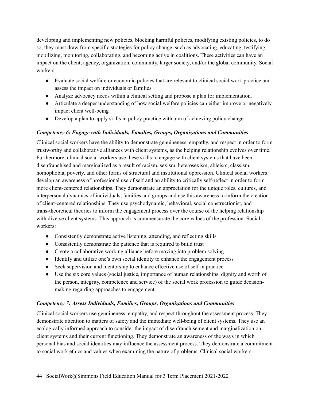developing and implementing new policies, blocking harmful policies, modifying existing policies, to do so, they must draw from specific strategies for policy change, such as advocating, educating, testifying, mobilizing, monitoring, collaborating, and becoming active in coalitions. These activities can have an impact on the client, agency, organization, community, larger society, and/or the global community. Social workers:

- ● Evaluate social welfare or economic policies that are relevant to clinical social work practice and assess the impact on individuals or families
- Analyze advocacy needs within a clinical setting and propose a plan for implementation.
- ● Articulate a deeper understanding of how social welfare policies can either improve or negatively impact client well-being
- Develop a plan to apply skills in policy practice with aim of achieving policy change

## <span id="page-43-0"></span> *Competency 6: Engage with Individuals, Families, Groups, Organizations and Communities*

 Clinical social workers have the ability to demonstrate genuineness, empathy, and respect in order to form trustworthy and collaborative alliances with client systems, as the helping relationship evolves over time. Furthermore, clinical social workers use these skills to engage with client systems that have been disenfranchised and marginalized as a result of racism, sexism, heterosexism, ableism, classism, homophobia, poverty, and other forms of structural and institutional oppression. Clinical social workers develop an awareness of professional use of self and an ability to critically self-reflect in order to form more client-centered relationships. They demonstrate an appreciation for the unique roles, cultures, and interpersonal dynamics of individuals, families and groups and use this awareness to inform the creation of client-centered relationships. They use psychodynamic, behavioral, social constructionist, and trans-theoretical theories to inform the engagement process over the course of the helping relationship with diverse client systems. This approach is commensurate the core values of the profession. Social workers:

- Consistently demonstrate active listening, attending, and reflecting skills
- Consistently demonstrate the patience that is required to build trust
- Create a collaborative working alliance before moving into problem solving
- Identify and utilize one's own social identity to enhance the engagement process
- Seek supervision and mentorship to enhance effective use of self in practice
- ● Use the six core values (social justice, importance of human relationships, dignity and worth of the person, integrity, competence and service) of the social work profession to guide decision-making regarding approaches to engagement

## <span id="page-43-1"></span> *Competency 7: Assess Individuals, Families, Groups, Organizations and Communities*

 Clinical social workers use genuineness, empathy, and respect throughout the assessment process. They demonstrate attention to matters of safety and the immediate well-being of client systems. They use an ecologically informed approach to consider the impact of disenfranchisement and marginalization on client systems and their current functioning. They demonstrate an awareness of the ways in which personal bias and social identities may influence the assessment process. They demonstrate a commitment to social work ethics and values when examining the nature of problems. Clinical social workers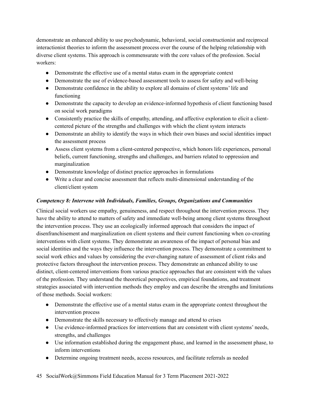demonstrate an enhanced ability to use psychodynamic, behavioral, social constructionist and reciprocal interactionist theories to inform the assessment process over the course of the helping relationship with diverse client systems. This approach is commensurate with the core values of the profession. Social workers:

- Demonstrate the effective use of a mental status exam in the appropriate context
- Demonstrate the use of evidence-based assessment tools to assess for safety and well-being
- ● Demonstrate confidence in the ability to explore all domains of client systems' life and functioning
- ● Demonstrate the capacity to develop an evidence-informed hypothesis of client functioning based on social work paradigms
- ● Consistently practice the skills of empathy, attending, and affective exploration to elicit a client-centered picture of the strengths and challenges with which the client system interacts
- ● Demonstrate an ability to identify the ways in which their own biases and social identities impact the assessment process
- ● Assess client systems from a client-centered perspective, which honors life experiences, personal beliefs, current functioning, strengths and challenges, and barriers related to oppression and marginalization
- Demonstrate knowledge of distinct practice approaches in formulations
- ● Write a clear and concise assessment that reflects multi-dimensional understanding of the client/client system

## <span id="page-44-0"></span> *Competency 8: Intervene with Individuals, Families, Groups, Organizations and Communities*

 Clinical social workers use empathy, genuineness, and respect throughout the intervention process. They have the ability to attend to matters of safety and immediate well-being among client systems throughout the intervention process. They use an ecologically informed approach that considers the impact of disenfranchisement and marginalization on client systems and their current functioning when co-creating interventions with client systems. They demonstrate an awareness of the impact of personal bias and social identities and the ways they influence the intervention process. They demonstrate a commitment to social work ethics and values by considering the ever-changing nature of assessment of client risks and protective factors throughout the intervention process. They demonstrate an enhanced ability to use distinct, client-centered interventions from various practice approaches that are consistent with the values of the profession. They understand the theoretical perspectives, empirical foundations, and treatment strategies associated with intervention methods they employ and can describe the strengths and limitations of those methods. Social workers:

- ● Demonstrate the effective use of a mental status exam in the appropriate context throughout the intervention process
- Demonstrate the skills necessary to effectively manage and attend to crises
- ● Use evidence-informed practices for interventions that are consistent with client systems' needs, strengths, and challenges
- ● Use information established during the engagement phase, and learned in the assessment phase, to inform interventions
- Determine ongoing treatment needs, access resources, and facilitate referrals as needed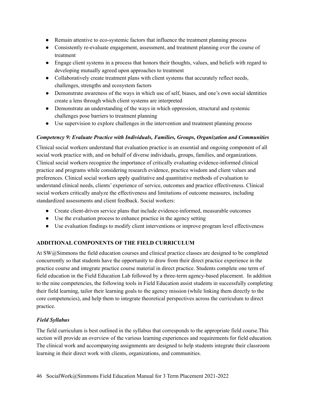- Remain attentive to eco-systemic factors that influence the treatment planning process
- ● Consistently re-evaluate engagement, assessment, and treatment planning over the course of treatment
- ● Engage client systems in a process that honors their thoughts, values, and beliefs with regard to developing mutually agreed upon approaches to treatment
- ● Collaboratively create treatment plans with client systems that accurately reflect needs, challenges, strengths and ecosystem factors
- Demonstrate awareness of the ways in which use of self, biases, and one's own social identities create a lens through which client systems are interpreted
- ● Demonstrate an understanding of the ways in which oppression, structural and systemic challenges pose barriers to treatment planning
- Use supervision to explore challenges in the intervention and treatment planning process

## <span id="page-45-0"></span> *Competency 9: Evaluate Practice with Individuals, Families, Groups, Organization and Communities*

 Clinical social workers understand that evaluation practice is an essential and ongoing component of all social work practice with, and on behalf of diverse individuals, groups, families, and organizations. Clinical social workers recognize the importance of critically evaluating evidence-informed clinical practice and programs while considering research evidence, practice wisdom and client values and preferences. Clinical social workers apply qualitative and quantitative methods of evaluation to understand clinical needs, clients' experience of service, outcomes and practice effectiveness. Clinical social workers critically analyze the effectiveness and limitations of outcome measures, including standardized assessments and client feedback. Social workers:

- Create client-driven service plans that include evidence-informed, measurable outcomes
- Use the evaluation process to enhance practice in the agency setting
- Use evaluation findings to modify client interventions or improve program level effectiveness

## <span id="page-45-1"></span> **ADDITIONAL COMPONENTS OF THE FIELD CURRICULUM**

 At SW@Simmons the field education courses and clinical practice classes are designed to be completed concurrently so that students have the opportunity to draw from their direct practice experience in the practice course and integrate practice course material in direct practice. Students complete one term of field education in the Field Education Lab followed by a three-term agency-based placement. In addition to the nine competencies, the following tools in Field Education assist students in successfully completing their field learning, tailor their learning goals to the agency mission (while linking them directly to the core competencies), and help them to integrate theoretical perspectives across the curriculum to direct practice.

#### <span id="page-45-2"></span>*Field Syllabus*

 The field curriculum is best outlined in the syllabus that corresponds to the appropriate field course.This section will provide an overview of the various learning experiences and requirements for field education. The clinical work and accompanying assignments are designed to help students integrate their classroom learning in their direct work with clients, organizations, and communities.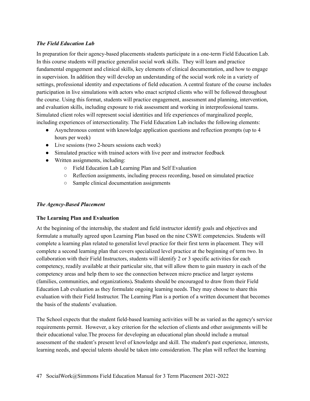## <span id="page-46-0"></span> *The Field Education Lab*

 In preparation for their agency-based placements students participate in a one-term Field Education Lab. In this course students will practice generalist social work skills. They will learn and practice fundamental engagement and clinical skills, key elements of clinical documentation, and how to engage in supervision. In addition they will develop an understanding of the social work role in a variety of settings, professional identity and expectations of field education. A central feature of the course includes participation in live simulations with actors who enact scripted clients who will be followed throughout the course. Using this format, students will practice engagement, assessment and planning, intervention, and evaluation skills, including exposure to risk assessment and working in interprofessional teams. Simulated client roles will represent social identities and life experiences of marginalized people, including experiences of intersectionality. The Field Education Lab includes the following elements:

- ● Asynchronous content with knowledge application questions and reflection prompts (up to 4 hours per week)
- Live sessions (two 2-hours sessions each week)
- Simulated practice with trained actors with live peer and instructor feedback
- Written assignments, including:
	- Field Education Lab Learning Plan and Self Evaluation
	- Reflection assignments, including process recording, based on simulated practice
	- Sample clinical documentation assignments

#### <span id="page-46-1"></span>*The Agency-Based Placement*

#### <span id="page-46-2"></span> **The Learning Plan and Evaluation**

 At the beginning of the internship, the student and field instructor identify goals and objectives and formulate a mutually agreed upon Learning Plan based on the nine CSWE competencies. Students will complete a learning plan related to generalist level practice for their first term in placement. They will complete a second learning plan that covers specialized level practice at the beginning of term two. In collaboration with their Field Instructors, students will identify 2 or 3 specific activities for each competency, readily available at their particular site, that will allow them to gain mastery in each of the competency areas and help them to see the connection between micro practice and larger systems (families, communities, and organizations)**.** Students should be encouraged to draw from their Field Education Lab evaluation as they formulate ongoing learning needs. They may choose to share this evaluation with their Field Instructor. The Learning Plan is a portion of a written document that becomes the basis of the students' evaluation.

 The School expects that the student field-based learning activities will be as varied as the agency's service requirements permit. However, a key criterion for the selection of clients and other assignments will be their educational value.The process for developing an educational plan should include a mutual assessment of the student's present level of knowledge and skill. The student's past experience, interests, learning needs, and special talents should be taken into consideration. The plan will reflect the learning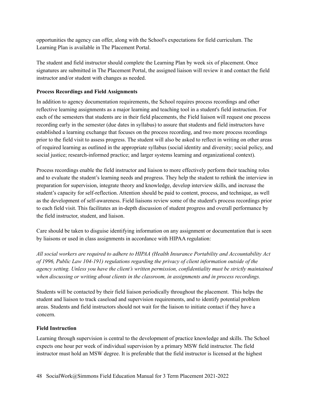opportunities the agency can offer, along with the School's expectations for field curriculum. The Learning Plan is available in The Placement Portal.

 The student and field instructor should complete the Learning Plan by week six of placement. Once signatures are submitted in The Placement Portal, the assigned liaison will review it and contact the field instructor and/or student with changes as needed.

#### <span id="page-47-0"></span> **Process Recordings and Field Assignments**

 In addition to agency documentation requirements, the School requires process recordings and other reflective learning assignments as a major learning and teaching tool in a student's field instruction. For each of the semesters that students are in their field placements, the Field liaison will request one process recording early in the semester (due dates in syllabus) to assure that students and field instructors have established a learning exchange that focuses on the process recording, and two more process recordings prior to the field visit to assess progress. The student will also be asked to reflect in writing on other areas of required learning as outlined in the appropriate syllabus (social identity and diversity; social policy, and social justice; research-informed practice; and larger systems learning and organizational context).

 Process recordings enable the field instructor and liaison to more effectively perform their teaching roles and to evaluate the student's learning needs and progress. They help the student to rethink the interview in preparation for supervision, integrate theory and knowledge, develop interview skills, and increase the student's capacity for self-reflection. Attention should be paid to content, process, and technique, as well as the development of self-awareness. Field liaisons review some of the student's process recordings prior to each field visit. This facilitates an in-depth discussion of student progress and overall performance by the field instructor, student, and liaison.

 Care should be taken to disguise identifying information on any assignment or documentation that is seen by liaisons or used in class assignments in accordance with HIPAA regulation:

 *All social workers are required to adhere to HIPAA (Health Insurance Portability and Accountability Act of 1996, Public Law 104-191) regulations regarding the privacy of client information outside of the agency setting. Unless you have the client's written permission, confidentiality must be strictly maintained when discussing or writing about clients in the classroom, in assignments and in process recordings.*

 Students will be contacted by their field liaison periodically throughout the placement. This helps the student and liaison to track caseload and supervision requirements, and to identify potential problem areas. Students and field instructors should not wait for the liaison to initiate contact if they have a concern.

#### <span id="page-47-1"></span>**Field Instruction**

 Learning through supervision is central to the development of practice knowledge and skills. The School expects one hour per week of individual supervision by a primary MSW field instructor. The field instructor must hold an MSW degree. It is preferable that the field instructor is licensed at the highest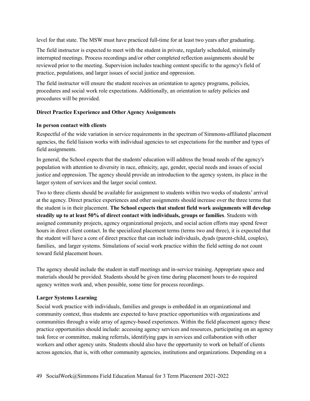level for that state. The MSW must have practiced full-time for at least two years after graduating.

 The field instructor is expected to meet with the student in private, regularly scheduled, minimally interrupted meetings. Process recordings and/or other completed reflection assignments should be reviewed prior to the meeting. Supervision includes teaching content specific to the agency's field of practice, populations, and larger issues of social justice and oppression.

 The field instructor will ensure the student receives an orientation to agency programs, policies, procedures and social work role expectations. Additionally, an orientation to safety policies and procedures will be provided.

#### <span id="page-48-0"></span> **Direct Practice Experience and Other Agency Assignments**

#### <span id="page-48-1"></span> **In person contact with clients**

 Respectful of the wide variation in service requirements in the spectrum of Simmons-affiliated placement agencies, the field liaison works with individual agencies to set expectations for the number and types of field assignments.

 In general, the School expects that the students' education will address the broad needs of the agency's population with attention to diversity in race, ethnicity, age, gender, special needs and issues of social justice and oppression. The agency should provide an introduction to the agency system, its place in the larger system of services and the larger social context.

 Two to three clients should be available for assignment to students within two weeks of students' arrival at the agency. Direct practice experiences and other assignments should increase over the three terms that the student is in their placement. **The School expects that student field work assignments will develop steadily up to at least 50% of direct contact with individuals, groups or families**. Students with assigned community projects, agency organizational projects, and social action efforts may spend fewer hours in direct client contact. In the specialized placement terms (terms two and three), it is expected that the student will have a core of direct practice that can include individuals, dyads (parent-child, couples), families, and larger systems. Simulations of social work practice within the field setting do not count toward field placement hours.

 The agency should include the student in staff meetings and in-service training. Appropriate space and materials should be provided. Students should be given time during placement hours to do required agency written work and, when possible, some time for process recordings.

#### <span id="page-48-2"></span> **Larger Systems Learning**

 Social work practice with individuals, families and groups is embedded in an organizational and community context, thus students are expected to have practice opportunities with organizations and communities through a wide array of agency-based experiences. Within the field placement agency these practice opportunities should include: accessing agency services and resources, participating on an agency task force or committee, making referrals, identifying gaps in services and collaboration with other workers and other agency units. Students should also have the opportunity to work on behalf of clients across agencies, that is, with other community agencies, institutions and organizations. Depending on a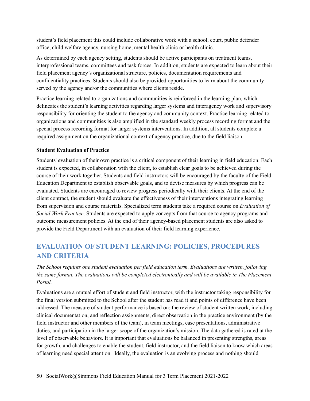student's field placement this could include collaborative work with a school, court, public defender office, child welfare agency, nursing home, mental health clinic or health clinic.

 As determined by each agency setting, students should be active participants on treatment teams, interprofessional teams, committees and task forces. In addition, students are expected to learn about their field placement agency's organizational structure, policies, documentation requirements and confidentiality practices. Students should also be provided opportunities to learn about the community served by the agency and/or the communities where clients reside.

 Practice learning related to organizations and communities is reinforced in the learning plan, which delineates the student's learning activities regarding larger systems and interagency work and supervisory responsibility for orienting the student to the agency and community context. Practice learning related to organizations and communities is also amplified in the standard weekly process recording format and the special process recording format for larger systems interventions. In addition, all students complete a required assignment on the organizational context of agency practice, due to the field liaison.

#### <span id="page-49-0"></span> **Student Evaluation of Practice**

 Students' evaluation of their own practice is a critical component of their learning in field education. Each student is expected, in collaboration with the client, to establish clear goals to be achieved during the course of their work together. Students and field instructors will be encouraged by the faculty of the Field Education Department to establish observable goals, and to devise measures by which progress can be evaluated. Students are encouraged to review progress periodically with their clients. At the end of the client contract, the student should evaluate the effectiveness of their interventions integrating learning from supervision and course materials. Specialized term students take a required course on *Evaluation of Social Work Practice*. Students are expected to apply concepts from that course to agency programs and outcome measurement policies. At the end of their agency-based placement students are also asked to provide the Field Department with an evaluation of their field learning experience.

# <span id="page-49-1"></span> **EVALUATION OF STUDENT LEARNING: POLICIES, PROCEDURES AND CRITERIA**

## *The School requires one student evaluation per field education term. Evaluations are written, following* the same format. The evaluations will be completed electronically and will be available in The Placement *Portal.*

 Evaluations are a mutual effort of student and field instructor, with the instructor taking responsibility for the final version submitted to the School after the student has read it and points of difference have been addressed. The measure of student performance is based on: the review of student written work, including clinical documentation, and reflection assignments, direct observation in the practice environment (by the field instructor and other members of the team), in team meetings, case presentations, administrative duties, and participation in the larger scope of the organization's mission. The data gathered is rated at the level of observable behaviors. It is important that evaluations be balanced in presenting strengths, areas for growth, and challenges to enable the student, field instructor, and the field liaison to know which areas of learning need special attention. Ideally, the evaluation is an evolving process and nothing should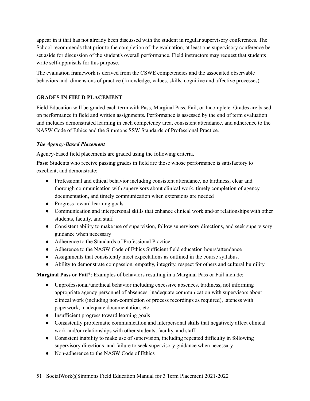appear in it that has not already been discussed with the student in regular supervisory conferences. The School recommends that prior to the completion of the evaluation, at least one supervisory conference be set aside for discussion of the student's overall performance. Field instructors may request that students write self-appraisals for this purpose.

 The evaluation framework is derived from the CSWE competencies and the associated observable behaviors and dimensions of practice ( knowledge, values, skills, cognitive and affective processes).

## <span id="page-50-0"></span> **GRADES IN FIELD PLACEMENT**

 Field Education will be graded each term with Pass, Marginal Pass, Fail, or Incomplete. Grades are based on performance in field and written assignments. Performance is assessed by the end of term evaluation and includes demonstrated learning in each competency area, consistent attendance, and adherence to the NASW Code of Ethics and the Simmons SSW Standards of Professional Practice.

## <span id="page-50-1"></span>*The Agency-Based Placement*

Agency-based field placements are graded using the following criteria.

 **Pass**: Students who receive passing grades in field are those whose performance is satisfactory to excellent, and demonstrate:

- ● Professional and ethical behavior including consistent attendance, no tardiness, clear and thorough communication with supervisors about clinical work, timely completion of agency documentation, and timely communication when extensions are needed
- Progress toward learning goals
- Communication and interpersonal skills that enhance clinical work and/or relationships with other students, faculty, and staff
- ● Consistent ability to make use of supervision, follow supervisory directions, and seek supervisory guidance when necessary
- Adherence to the Standards of Professional Practice.
- Adherence to the NASW Code of Ethics Sufficient field education hours/attendance
- Assignments that consistently meet expectations as outlined in the course syllabus.
- Ability to demonstrate compassion, empathy, integrity, respect for others and cultural humility

 **Marginal Pass or Fail**\*: Examples of behaviors resulting in a Marginal Pass or Fail include:

- ● Unprofessional/unethical behavior including excessive absences, tardiness, not informing appropriate agency personnel of absences, inadequate communication with supervisors about clinical work (including non-completion of process recordings as required), lateness with paperwork, inadequate documentation, etc.
- Insufficient progress toward learning goals
- ● Consistently problematic communication and interpersonal skills that negatively affect clinical work and/or relationships with other students, faculty, and staff
- ● Consistent inability to make use of supervision, including repeated difficulty in following supervisory directions, and failure to seek supervisory guidance when necessary
- Non-adherence to the NASW Code of Ethics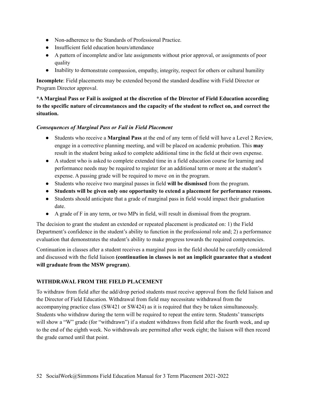- Non-adherence to the Standards of Professional Practice.
- Insufficient field education hours/attendance
- ● A pattern of incomplete and/or late assignments without prior approval, or assignments of poor quality
- Inability to demonstrate compassion, empathy, integrity, respect for others or cultural humility

 **Incomplete**: Field placements may be extended beyond the standard deadline with Field Director or Program Director approval.

\*A Marginal Pass or Fail is assigned at the discretion of the Director of Field Education according to the specific nature of circumstances and the capacity of the student to reflect on, and correct the **situation.**

## <span id="page-51-0"></span> *Consequences of Marginal Pass or Fail in Field Placement*

- ● Students who receive a **Marginal Pass** at the end of any term of field will have a Level 2 Review, engage in a corrective planning meeting, and will be placed on academic probation. This **may** result in the student being asked to complete additional time in the field at their own expense.
- ● A student who is asked to complete extended time in a field education course for learning and performance needs may be required to register for an additional term or more at the student's expense. A passing grade will be required to move on in the program.
- Students who receive two marginal passes in field **will be dismissed** from the program.
- **● Students will be given only one opportunity to extend a placement for performance reasons.**
- ● Students should anticipate that a grade of marginal pass in field would impact their graduation date.
- A grade of F in any term, or two MPs in field, will result in dismissal from the program.

 The decision to grant the student an extended or repeated placement is predicated on: 1) the Field Department's confidence in the student's ability to function in the professional role and; 2) a performance evaluation that demonstrates the student's ability to make progress towards the required competencies.

 Continuation in classes after a student receives a marginal pass in the field should be carefully considered and discussed with the field liaison **(continuation in classes is not an implicit guarantee that a student will graduate from the MSW program)**.

## <span id="page-51-1"></span> **WITHDRAWAL FROM THE FIELD PLACEMENT**

 To withdraw from field after the add/drop period students must receive approval from the field liaison and the Director of Field Education. Withdrawal from field may necessitate withdrawal from the accompanying practice class (SW421 or SW424) as it is required that they be taken simultaneously. Students who withdraw during the term will be required to repeat the entire term. Students' transcripts will show a "W" grade (for "withdrawn") if a student withdraws from field after the fourth week, and up to the end of the eighth week. No withdrawals are permitted after week eight; the liaison will then record the grade earned until that point.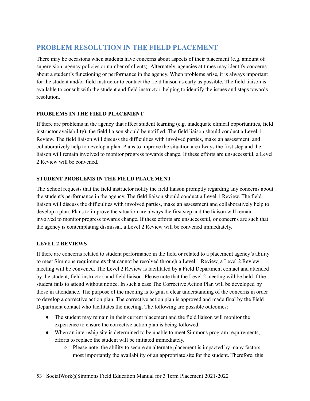# <span id="page-52-0"></span> **PROBLEM RESOLUTION IN THE FIELD PLACEMENT**

 There may be occasions when students have concerns about aspects of their placement (e.g. amount of supervision, agency policies or number of clients). Alternately, agencies at times may identify concerns about a student's functioning or performance in the agency. When problems arise, it is always important for the student and/or field instructor to contact the field liaison as early as possible. The field liaison is available to consult with the student and field instructor, helping to identify the issues and steps towards resolution.

## <span id="page-52-1"></span> **PROBLEMS IN THE FIELD PLACEMENT**

 If there are problems in the agency that affect student learning (e.g. inadequate clinical opportunities, field instructor availability), the field liaison should be notified. The field liaison should conduct a Level 1 Review. The field liaison will discuss the difficulties with involved parties, make an assessment, and collaboratively help to develop a plan. Plans to improve the situation are always the first step and the liaison will remain involved to monitor progress towards change. If these efforts are unsuccessful, a Level 2 Review will be convened.

## <span id="page-52-2"></span> **STUDENT PROBLEMS IN THE FIELD PLACEMENT**

 The School requests that the field instructor notify the field liaison promptly regarding any concerns about the student's performance in the agency. The field liaison should conduct a Level 1 Review. The field liaison will discuss the difficulties with involved parties, make an assessment and collaboratively help to develop a plan. Plans to improve the situation are always the first step and the liaison will remain involved to monitor progress towards change. If these efforts are unsuccessful, or concerns are such that the agency is contemplating dismissal, a Level 2 Review will be convened immediately.

## <span id="page-52-3"></span> **LEVEL 2 REVIEWS**

 If there are concerns related to student performance in the field or related to a placement agency's ability to meet Simmons requirements that cannot be resolved through a Level 1 Review, a Level 2 Review meeting will be convened. The Level 2 Review is facilitated by a Field Department contact and attended by the student, field instructor, and field liaison. Please note that the Level 2 meeting will be held if the student fails to attend without notice. In such a case The Corrective Action Plan will be developed by those in attendance. The purpose of the meeting is to gain a clear understanding of the concerns in order to develop a corrective action plan. The corrective action plan is approved and made final by the Field Department contact who facilitates the meeting. The following are possible outcomes:

- ● The student may remain in their current placement and the field liaison will monitor the experience to ensure the corrective action plan is being followed.
- ● When an internship site is determined to be unable to meet Simmons program requirements, efforts to replace the student will be initiated immediately.
	- ○ Please note: the ability to secure an alternate placement is impacted by many factors, most importantly the availability of an appropriate site for the student. Therefore, this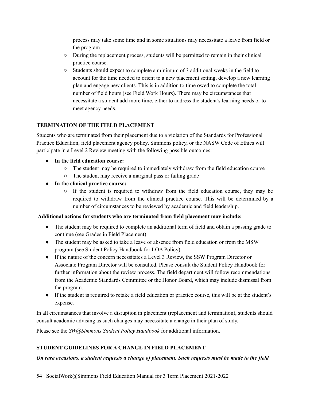process may take some time and in some situations may necessitate a leave from field or the program.

- ○ During the replacement process, students will be permitted to remain in their clinical practice course.
- ○ Students should expect to complete a minimum of 3 additional weeks in the field to account for the time needed to orient to a new placement setting, develop a new learning plan and engage new clients. This is in addition to time owed to complete the total number of field hours (see Field Work Hours). There may be circumstances that necessitate a student add more time, either to address the student's learning needs or to meet agency needs.

## <span id="page-53-0"></span> **TERMINATION OF THE FIELD PLACEMENT**

 Students who are terminated from their placement due to a violation of the Standards for Professional Practice Education, field placement agency policy, Simmons policy, or the NASW Code of Ethics will participate in a Level 2 Review meeting with the following possible outcomes:

- **● In the field education course:**
	- The student may be required to immediately withdraw from the field education course
	- The student may receive a marginal pass or failing grade
- **● In the clinical practice course:**
	- number of circumstances to be reviewed by academic and field leadership.  $\circ$  If the student is required to withdraw from the field education course, they may be required to withdraw from the clinical practice course. This will be determined by a

#### **Additional actions for students who are terminated from field placement may include:**

- ● The student may be required to complete an additional term of field and obtain a passing grade to continue (see Grades in Field Placement).
- ● The student may be asked to take a leave of absence from field education or from the MSW program (see Student Policy Handbook for LOA Policy).
- ● If the nature of the concern necessitates a Level 3 Review, the SSW Program Director or Associate Program Director will be consulted. Please consult the Student Policy Handbook for further information about the review process. The field department will follow recommendations from the Academic Standards Committee or the Honor Board, which may include dismissal from the program.
- ● If the student is required to retake a field education or practice course, this will be at the student's expense.

 In all circumstances that involve a disruption in placement (replacement and termination), students should consult academic advising as such changes may necessitate a change in their plan of study.

Please see the *SW@Simmons Student Policy Handbook* for additional information.

#### <span id="page-53-1"></span> **STUDENT GUIDELINES FOR A CHANGE IN FIELD PLACEMENT**

On rare occasions, a student requests a change of placement. Such requests must be made to the field

54 SocialWork@Simmons Field Education Manual for 3 Term Placement 2021-2022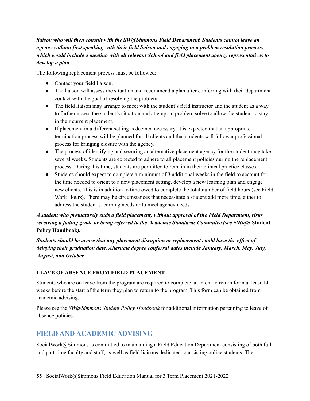*liaison who will then consult with the SW@Simmons Field Department. Students cannot leave an agency without first speaking with their field liaison and engaging in a problem resolution process, which would include a meeting with all relevant School and field placement agency representatives to develop a plan.*

The following replacement process must be followed:

- Contact your field liaison.
- ● The liaison will assess the situation and recommend a plan after conferring with their department contact with the goal of resolving the problem.
- The field liaison may arrange to meet with the student's field instructor and the student as a way to further assess the student's situation and attempt to problem solve to allow the student to stay in their current placement.
- ● If placement in a different setting is deemed necessary, it is expected that an appropriate termination process will be planned for all clients and that students will follow a professional process for bringing closure with the agency.
- ● The process of identifying and securing an alternative placement agency for the student may take several weeks. Students are expected to adhere to all placement policies during the replacement process. During this time, students are permitted to remain in their clinical practice classes.
- ● Students should expect to complete a minimum of 3 additional weeks in the field to account for the time needed to orient to a new placement setting, develop a new learning plan and engage new clients. This is in addition to time owed to complete the total number of field hours (see Field Work Hours). There may be circumstances that necessitate a student add more time, either to address the student's learning needs or to meet agency needs

## *A student who prematurely ends a field placement, without approval of the Field Department, risks receiving a failing grade or being referred to the Academic Standards Committee (see* **SW@S Student Policy Handbook***).*

 *Students should be aware that any placement disruption or replacement could have the effect of delaying their graduation date. Alternate degree conferral dates include January, March, May, July, August, and October.*

#### <span id="page-54-0"></span> **LEAVE OF ABSENCE FROM FIELD PLACEMENT**

 Students who are on leave from the program are required to complete an intent to return form at least 14 weeks before the start of the term they plan to return to the program. This form can be obtained from academic advising.

 Please see the *SW@Simmons Student Policy Handbook* for additional information pertaining to leave of absence policies.

# <span id="page-54-1"></span> **FIELD AND ACADEMIC ADVISING**

 SocialWork@Simmons is committed to maintaining a Field Education Department consisting of both full and part-time faculty and staff, as well as field liaisons dedicated to assisting online students. The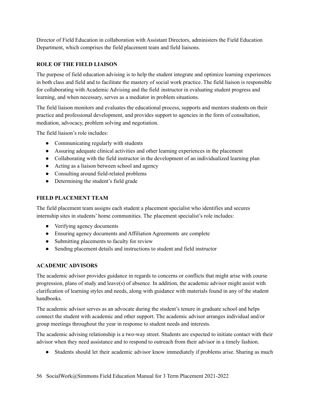Director of Field Education in collaboration with Assistant Directors, administers the Field Education Department, which comprises the field placement team and field liaisons.

## <span id="page-55-0"></span> **ROLE OF THE FIELD LIAISON**

 The purpose of field education advising is to help the student integrate and optimize learning experiences in both class and field and to facilitate the mastery of social work practice. The field liaison is responsible for collaborating with Academic Advising and the field instructor in evaluating student progress and learning, and when necessary, serves as a mediator in problem situations.

 The field liaison monitors and evaluates the educational process, supports and mentors students on their practice and professional development, and provides support to agencies in the form of consultation, mediation, advocacy, problem solving and negotiation.

The field liaison's role includes:

- Communicating regularly with students
- Assuring adequate clinical activities and other learning experiences in the placement
- Collaborating with the field instructor in the development of an individualized learning plan
- Acting as a liaison between school and agency
- Consulting around field-related problems
- Determining the student's field grade

#### <span id="page-55-1"></span>**FIELD PLACEMENT TEAM**

 The field placement team assigns each student a placement specialist who identifies and secures internship sites in students' home communities. The placement specialist's role includes:

- Verifying agency documents
- Ensuring agency documents and Affiliation Agreements are complete
- Submitting placements to faculty for review
- Sending placement details and instructions to student and field instructor

#### <span id="page-55-2"></span>**ACADEMIC ADVISORS**

 The academic advisor provides guidance in regards to concerns or conflicts that might arise with course progression, plans of study and leave(s) of absence. In addition, the academic advisor might assist with clarification of learning styles and needs, along with guidance with materials found in any of the student handbooks.

 The academic advisor serves as an advocate during the student's tenure in graduate school and helps connect the student with academic and other support. The academic advisor arranges individual and/or group meetings throughout the year in response to student needs and interests.

 The academic advising relationship is a two-way street. Students are expected to initiate contact with their advisor when they need assistance and to respond to outreach from their advisor in a timely fashion.

• Students should let their academic advisor know immediately if problems arise. Sharing as much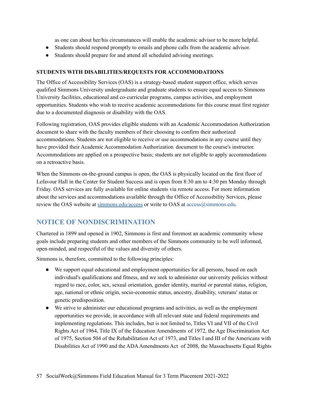as one can about her/his circumstances will enable the academic advisor to be more helpful.

- Students should respond promptly to emails and phone calls from the academic advisor.
- Students should prepare for and attend all scheduled advising meetings.

## <span id="page-56-0"></span> **STUDENTS WITH DISABILITIES/REQUESTS FOR ACCOMMODATIONS**

 The Office of Accessibility Services (OAS) is a strategy-based student support office, which serves qualified Simmons University undergraduate and graduate students to ensure equal access to Simmons University facilities, educational and co-curricular programs, campus activities, and employment opportunities. Students who wish to receive academic accommodations for this course must first register due to a documented diagnosis or disability with the OAS.

 Following registration, OAS provides eligible students with an Academic Accommodation Authorization document to share with the faculty members of their choosing to confirm their authorized accommodations. Students are not eligible to receive or use accommodations in any course until they have provided their Academic Accommodation Authorization document to the course's instructor. Accommodations are applied on a prospective basis; students are not eligible to apply accommodations on a retroactive basis.

 When the Simmons on-the-ground campus is open, the OAS is physically located on the first floor of Lefavour Hall in the Center for Student Success and is open from 8:30 am to 4:30 pm Monday through Friday. OAS services are fully available for online students via remote access. For more information about the services and accommodations available through the Office of Accessibility Services, please review the OAS website at [simmons.edu/access](http://simmons.edu/access) or write to OAS at [access@simmons.edu](mailto:access@simmons.edu).

# <span id="page-56-1"></span> **NOTICE OF NONDISCRIMINATION**

 Chartered in 1899 and opened in 1902, Simmons is first and foremost an academic community whose goals include preparing students and other members of the Simmons community to be well informed, open-minded, and respectful of the values and diversity of others.

Simmons is, therefore, committed to the following principles:

- ● We support equal educational and employment opportunities for all persons, based on each individual's qualifications and fitness, and we seek to administer our university policies without regard to race, color, sex, sexual orientation, gender identity, marital or parental status, religion, age, national or ethnic origin, socio-economic status, ancestry, disability, veterans' status or genetic predisposition.
- ● We strive to administer our educational programs and activities, as well as the employment opportunities we provide, in accordance with all relevant state and federal requirements and implementing regulations. This includes, but is not limited to, Titles VI and VII of the Civil Rights Act of 1964, Title IX of the Education Amendments of 1972, the Age Discrimination Act of 1975, Section 504 of the Rehabilitation Act of 1973, and Titles I and III of the Americans with Disabilities Act of 1990 and the ADA Amendments Act of 2008, the Massachusetts Equal Rights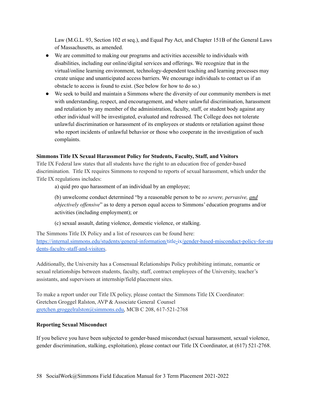Law (M.G.L. 93, Section 102 et seq.), and Equal Pay Act, and Chapter 151B of the General Laws of Massachusetts, as amended.

- ● We are committed to making our programs and activities accessible to individuals with disabilities, including our online/digital services and offerings. We recognize that in the virtual/online learning environment, technology-dependent teaching and learning processes may create unique and unanticipated access barriers. We encourage individuals to contact us if an obstacle to access is found to exist. (See below for how to do so.)
- ● We seek to build and maintain a Simmons where the diversity of our community members is met with understanding, respect, and encouragement, and where unlawful discrimination, harassment and retaliation by any member of the administration, faculty, staff, or student body against any other individual will be investigated, evaluated and redressed. The College does not tolerate unlawful discrimination or harassment of its employees or students or retaliation against those who report incidents of unlawful behavior or those who cooperate in the investigation of such complaints.

## <span id="page-57-0"></span> **Simmons Title IX Sexual Harassment Policy for Students, Faculty, Staff, and Visitors**

 Title IX Federal law states that all students have the right to an education free of gender-based discrimination. Title IX requires Simmons to respond to reports of sexual harassment, which under the Title IX regulations includes:

a) quid pro quo harassment of an individual by an employee;

 (b) unwelcome conduct determined "by a reasonable person to be *so severe, pervasive, and objectively offensive*" as to deny a person equal access to Simmons' education programs and/or activities (including employment); or

(c) sexual assault, dating violence, domestic violence, or stalking.

 The Simmons Title IX Policy and a list of resources can be found here: [https://internal.simmons.edu/students/general-information/title-ix/gender-based-misconduct-policy-for-stu](https://internal.simmons.edu/students/general-information/title-ix/gender-based-misconduct-policy-for-students-faculty-staff-and-visitors) [dents-faculty-staff-and-visitors.](https://internal.simmons.edu/students/general-information/title-ix/gender-based-misconduct-policy-for-students-faculty-staff-and-visitors)

 Additionally, the University has a Consensual Relationships Policy prohibiting intimate, romantic or sexual relationships between students, faculty, staff, contract employees of the University, teacher's assistants, and supervisors at internship/field placement sites.

 To make a report under our Title IX policy, please contact the Simmons Title IX Coordinator: Gretchen Groggel Ralston, AVP & Associate General Counsel [gretchen.groggelralston@simmons.edu,](mailto:gretchen.groggelralston@simmons.edu) MCB C 208, 617-521-2768

#### <span id="page-57-1"></span> **Reporting Sexual Misconduct**

 If you believe you have been subjected to gender-based misconduct (sexual harassment, sexual violence, gender discrimination, stalking, exploitation), please contact our Title IX Coordinator, at (617) 521-2768.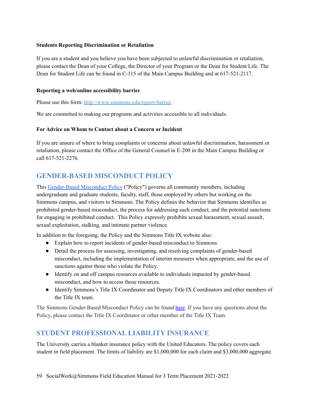#### <span id="page-58-0"></span> **Students Reporting Discrimination or Retaliation**

 If you are a student and you believe you have been subjected to unlawful discrimination or retaliation, please contact the Dean of your College, the Director of your Program or the Dean for Student Life. The Dean for Student Life can be found in C-115 of the Main Campus Building and at 617-521-2117.

#### <span id="page-58-1"></span> **Reporting a web/online accessibility barrier**

Please use this form: <http://www.simmons.edu/report-barrier>

We are committed to making our programs and activities accessible to all individuals.

#### <span id="page-58-2"></span> **For Advice on Whom to Contact about a Concern or Incident**

 If you are unsure of where to bring complaints or concerns about unlawful discrimination, harassment or retaliation, please contact the Office of the General Counsel in E-200 in the Main Campus Building or call 617-521-2276.

# <span id="page-58-3"></span>**GENDER-BASED MISCONDUCT POLICY**

This **[Gender-Based](https://www.simmons.edu/your-simmons/commitment-inclusivity/title-ix/gender-based-misconduct-policy) Misconduct Policy** ("Policy") governs all community members, including undergraduate and graduate students, faculty, staff, those employed by others but working on the Simmons campus, and visitors to Simmons. The Policy defines the behavior that Simmons identifies as prohibited gender-based misconduct, the process for addressing such conduct, and the potential sanctions for engaging in prohibited conduct. This Policy expressly prohibits sexual harassment, sexual assault, sexual exploitation, stalking, and intimate partner violence.

In addition to the foregoing, the Policy and the Simmons Title IX website also:

- Explain how to report incidents of gender-based misconduct to Simmons.
- ● Detail the process for assessing, investigating, and resolving complaints of gender-based misconduct, including the implementation of interim measures when appropriate, and the use of sanctions against those who violate the Policy.
- ● Identify on and off campus resources available to individuals impacted by gender-based misconduct, and how to access those resources.
- ● Identify Simmons's Title IX Coordinator and Deputy Title IX [Coordinators](https://www.simmons.edu/your-simmons/commitment-inclusivity/title-ix/title-ix-coordinators-and-team-members) and other members of the Title IX [team](https://www.simmons.edu/your-simmons/commitment-inclusivity/title-ix/title-ix-coordinators-and-team-members).

The Simmons Gender-Based Misconduct Policy can be found [here](https://www.simmons.edu/your-simmons/commitment-inclusivity/title-ix/gender-based-misconduct-policy). If you have any questions about the Policy, please contact the Title IX Coordinator or other member of the Title IX Team.

## <span id="page-58-4"></span>**STUDENT PROFESSIONAL LIABILITY INSURANCE**

 The University carries a blanket insurance policy with the United Educators. The policy covers each student in field placement. The limits of liability are \$1,000,000 for each claim and \$3,000,000 aggregate.